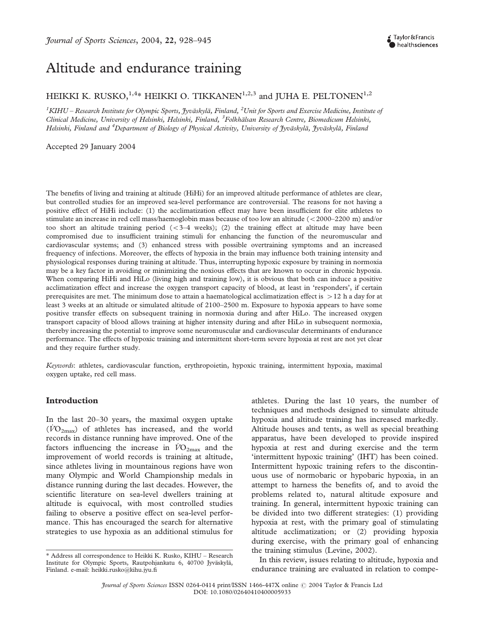# Altitude and endurance training

# HEIKKI K. RUSKO,  $1,4*$  HEIKKI O. TIKKANEN $1,2,3$  and IUHA E. PELTONEN $1,2$

 $^1$ KIHU – Research Institute for Olympic Sports, Jyväskylä, Finland,  $^2$ Unit for Sports and Exercise Medicine, Institute of Clinical Medicine, University of Helsinki, Helsinki, Finland, <sup>3</sup>Folkhälsan Research Centre, Biomedicum Helsinki, Helsinki, Finland and <sup>4</sup>Department of Biology of Physical Activity, University of Jyväskylä, Jyväskylä, Finland

Accepted 29 January 2004

The benefits of living and training at altitude (HiHi) for an improved altitude performance of athletes are clear, but controlled studies for an improved sea-level performance are controversial. The reasons for not having a positive effect of HiHi include: (1) the acclimatization effect may have been insufficient for elite athletes to stimulate an increase in red cell mass/haemoglobin mass because of too low an altitude (<2000–2200 m) and/or too short an altitude training period  $( $3-4$  weeks); (2) the training effect at altitude may have been$ compromised due to insufficient training stimuli for enhancing the function of the neuromuscular and cardiovascular systems; and (3) enhanced stress with possible overtraining symptoms and an increased frequency of infections. Moreover, the effects of hypoxia in the brain may influence both training intensity and physiological responses during training at altitude. Thus, interrupting hypoxic exposure by training in normoxia may be a key factor in avoiding or minimizing the noxious effects that are known to occur in chronic hypoxia. When comparing HiHi and HiLo (living high and training low), it is obvious that both can induce a positive acclimatization effect and increase the oxygen transport capacity of blood, at least in 'responders', if certain prerequisites are met. The minimum dose to attain a haematological acclimatization effect is  $>12$  h a day for at least 3 weeks at an altitude or simulated altitude of 2100–2500 m. Exposure to hypoxia appears to have some positive transfer effects on subsequent training in normoxia during and after HiLo. The increased oxygen transport capacity of blood allows training at higher intensity during and after HiLo in subsequent normoxia, thereby increasing the potential to improve some neuromuscular and cardiovascular determinants of endurance performance. The effects of hypoxic training and intermittent short-term severe hypoxia at rest are not yet clear and they require further study.

Keywords: athletes, cardiovascular function, erythropoietin, hypoxic training, intermittent hypoxia, maximal oxygen uptake, red cell mass.

# Introduction

In the last 20–30 years, the maximal oxygen uptake  $(VO<sub>2max</sub>)$  of athletes has increased, and the world records in distance running have improved. One of the factors influencing the increase in  $\dot{V}O_{2\text{max}}$  and the improvement of world records is training at altitude, since athletes living in mountainous regions have won many Olympic and World Championship medals in distance running during the last decades. However, the scientific literature on sea-level dwellers training at altitude is equivocal, with most controlled studies failing to observe a positive effect on sea-level performance. This has encouraged the search for alternative strategies to use hypoxia as an additional stimulus for athletes. During the last 10 years, the number of techniques and methods designed to simulate altitude hypoxia and altitude training has increased markedly. Altitude houses and tents, as well as special breathing apparatus, have been developed to provide inspired hypoxia at rest and during exercise and the term 'intermittent hypoxic training' (IHT) has been coined. Intermittent hypoxic training refers to the discontinuous use of normobaric or hypobaric hypoxia, in an attempt to harness the benefits of, and to avoid the problems related to, natural altitude exposure and training. In general, intermittent hypoxic training can be divided into two different strategies: (1) providing hypoxia at rest, with the primary goal of stimulating altitude acclimatization; or (2) providing hypoxia during exercise, with the primary goal of enhancing the training stimulus (Levine, 2002).

In this review, issues relating to altitude, hypoxia and endurance training are evaluated in relation to compe-

<sup>\*</sup> Address all correspondence to Heikki K. Rusko, KIHU – Research Institute for Olympic Sports, Rautpohjankatu 6, 40700 Jyväskylä, Finland. e-mail: heikki.rusko@kihu.jyu.fi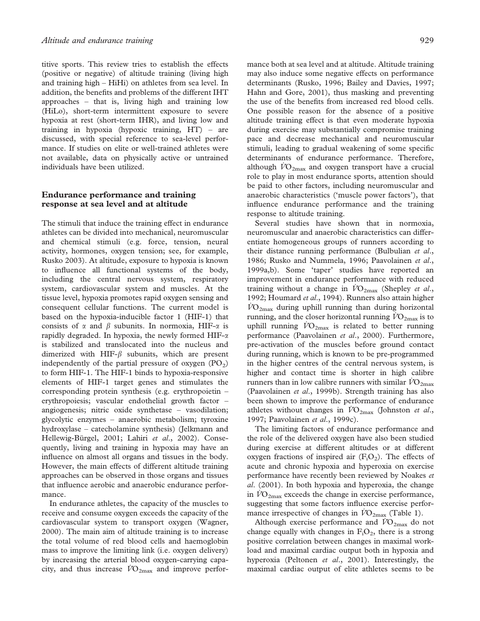titive sports. This review tries to establish the effects (positive or negative) of altitude training (living high and training high – HiHi) on athletes from sea level. In addition, the benefits and problems of the different IHT approaches – that is, living high and training low (HiLo), short-term intermittent exposure to severe hypoxia at rest (short-term IHR), and living low and training in hypoxia (hypoxic training, HT) – are discussed, with special reference to sea-level performance. If studies on elite or well-trained athletes were not available, data on physically active or untrained individuals have been utilized.

# Endurance performance and training response at sea level and at altitude

The stimuli that induce the training effect in endurance athletes can be divided into mechanical, neuromuscular and chemical stimuli (e.g. force, tension, neural activity, hormones, oxygen tension; see, for example, Rusko 2003). At altitude, exposure to hypoxia is known to influence all functional systems of the body, including the central nervous system, respiratory system, cardiovascular system and muscles. At the tissue level, hypoxia promotes rapid oxygen sensing and consequent cellular functions. The current model is based on the hypoxia-inducible factor 1 (HIF-1) that consists of  $\alpha$  and  $\beta$  subunits. In normoxia, HIF- $\alpha$  is rapidly degraded. In hypoxia, the newly formed  $HIF-\alpha$ is stabilized and translocated into the nucleus and dimerized with HIF- $\beta$  subunits, which are present independently of the partial pressure of oxygen  $(PO<sub>2</sub>)$ to form HIF-1. The HIF-1 binds to hypoxia-responsive elements of HIF-1 target genes and stimulates the corresponding protein synthesis (e.g. erythropoietin – erythropoiesis; vascular endothelial growth factor – angiogenesis; nitric oxide synthetase – vasodilation; glycolytic enzymes – anaerobic metabolism; tyroxine hydroxylase – catecholamine synthesis) (Jelkmann and Hellewig-Bürgel, 2001; Lahiri et al., 2002). Consequently, living and training in hypoxia may have an influence on almost all organs and tissues in the body. However, the main effects of different altitude training approaches can be observed in those organs and tissues that influence aerobic and anaerobic endurance performance.

In endurance athletes, the capacity of the muscles to receive and consume oxygen exceeds the capacity of the cardiovascular system to transport oxygen (Wagner, 2000). The main aim of altitude training is to increase the total volume of red blood cells and haemoglobin mass to improve the limiting link (i.e. oxygen delivery) by increasing the arterial blood oxygen-carrying capacity, and thus increase  $\dot{V}O_{2\text{max}}$  and improve performance both at sea level and at altitude. Altitude training may also induce some negative effects on performance determinants (Rusko, 1996; Bailey and Davies, 1997; Hahn and Gore, 2001), thus masking and preventing the use of the benefits from increased red blood cells. One possible reason for the absence of a positive altitude training effect is that even moderate hypoxia during exercise may substantially compromise training pace and decrease mechanical and neuromuscular stimuli, leading to gradual weakening of some specific determinants of endurance performance. Therefore, although  $\dot{V}O_{2\text{max}}$  and oxygen transport have a crucial role to play in most endurance sports, attention should be paid to other factors, including neuromuscular and anaerobic characteristics ('muscle power factors'), that influence endurance performance and the training response to altitude training.

Several studies have shown that in normoxia, neuromuscular and anaerobic characteristics can differentiate homogeneous groups of runners according to their distance running performance (Bulbulian et al., 1986; Rusko and Nummela, 1996; Paavolainen et al., 1999a,b). Some 'taper' studies have reported an improvement in endurance performance with reduced training without a change in  $\dot{V}\text{O}_{2\text{max}}$  (Shepley et al., 1992; Houmard et al., 1994). Runners also attain higher  $\rm \dot{VO}_{2max}$  during uphill running than during horizontal running, and the closer horizontal running  $\dot{V}O_{2\text{max}}$  is to uphill running  $\dot{V}O_{2\text{max}}$  is related to better running performance (Paavolainen et al., 2000). Furthermore, pre-activation of the muscles before ground contact during running, which is known to be pre-programmed in the higher centres of the central nervous system, is higher and contact time is shorter in high calibre runners than in low calibre runners with similar  $V_{{\rm O}_{2{\rm max}}}$ (Paavolainen et al., 1999b). Strength training has also been shown to improve the performance of endurance athletes without changes in  $\dot{V}O_{2\text{max}}$  (Johnston *et al.*, 1997; Paavolainen et al., 1999c).

The limiting factors of endurance performance and the role of the delivered oxygen have also been studied during exercise at different altitudes or at different oxygen fractions of inspired air  $(F_iO_2)$ . The effects of acute and chronic hypoxia and hyperoxia on exercise performance have recently been reviewed by Noakes et al. (2001). In both hypoxia and hyperoxia, the change in  $VO_{2\text{max}}$  exceeds the change in exercise performance, suggesting that some factors influence exercise performance irrespective of changes in  $\overline{VO}_{2\text{max}}$  (Table 1).

Although exercise performance and  $\dot{V}O_{2\text{max}}$  do not change equally with changes in  $F_1O_2$ , there is a strong positive correlation between changes in maximal workload and maximal cardiac output both in hypoxia and hyperoxia (Peltonen et al., 2001). Interestingly, the maximal cardiac output of elite athletes seems to be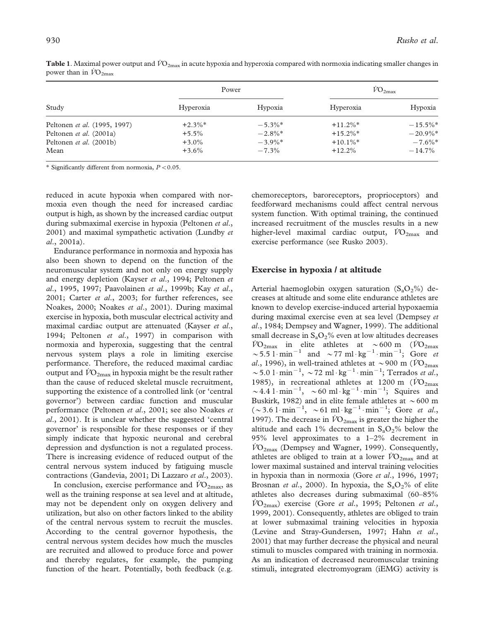| Study                        | Power     |            | $V_{}$ <sup>2max</sup> |                       |
|------------------------------|-----------|------------|------------------------|-----------------------|
|                              | Hyperoxia | Hypoxia    | Hyperoxia              | Hypoxia               |
| Peltonen et al. (1995, 1997) | $+2.3\%*$ | $-5.3\%$ * | $+11.2\%$ *            | $-15.5\%$ *           |
| Peltonen et al. (2001a)      | $+5.5\%$  | $-2.8\%$ * | $+15.2\%$ *            | $-20.9\%$ *           |
| Peltonen et al. (2001b)      | $+3.0\%$  | $-3.9\%$ * | $+10.1\%$ <sup>*</sup> | $-7.6\%$ <sup>*</sup> |
| Mean                         | $+3.6\%$  | $-7.3%$    | $+12.2\%$              | $-14.7\%$             |

**Table 1**. Maximal power output and  $VO_{2max}$  in acute hypoxia and hyperoxia compared with normoxia indicating smaller changes in power than in  $\dot{V}O_{2\text{max}}$ 

\* Significantly different from normoxia,  $P < 0.05$ .

reduced in acute hypoxia when compared with normoxia even though the need for increased cardiac output is high, as shown by the increased cardiac output during submaximal exercise in hypoxia (Peltonen et al., 2001) and maximal sympathetic activation (Lundby et al., 2001a).

Endurance performance in normoxia and hypoxia has also been shown to depend on the function of the neuromuscular system and not only on energy supply and energy depletion (Kayser et al., 1994; Peltonen et al., 1995, 1997; Paavolainen et al., 1999b; Kay et al., 2001; Carter et al., 2003; for further references, see Noakes, 2000; Noakes et al., 2001). During maximal exercise in hypoxia, both muscular electrical activity and maximal cardiac output are attenuated (Kayser *et al.*, 1994; Peltonen et al., 1997) in comparison with normoxia and hyperoxia, suggesting that the central nervous system plays a role in limiting exercise performance. Therefore, the reduced maximal cardiac output and  $VO_{2\text{max}}$  in hypoxia might be the result rather than the cause of reduced skeletal muscle recruitment, supporting the existence of a controlled link (or 'central governor') between cardiac function and muscular performance (Peltonen et al., 2001; see also Noakes et al., 2001). It is unclear whether the suggested 'central governor' is responsible for these responses or if they simply indicate that hypoxic neuronal and cerebral depression and dysfunction is not a regulated process. There is increasing evidence of reduced output of the central nervous system induced by fatiguing muscle contractions (Gandevia, 2001; Di Lazzaro et al., 2003).

In conclusion, exercise performance and  $\dot{V}O_{2\text{max}}$ , as well as the training response at sea level and at altitude, may not be dependent only on oxygen delivery and utilization, but also on other factors linked to the ability of the central nervous system to recruit the muscles. According to the central governor hypothesis, the central nervous system decides how much the muscles are recruited and allowed to produce force and power and thereby regulates, for example, the pumping function of the heart. Potentially, both feedback (e.g. chemoreceptors, baroreceptors, proprioceptors) and feedforward mechanisms could affect central nervous system function. With optimal training, the continued increased recruitment of the muscles results in a new higher-level maximal cardiac output,  $\dot{V}O_{2\text{max}}$  and exercise performance (see Rusko 2003).

# Exercise in hypoxia / at altitude

Arterial haemoglobin oxygen saturation  $(S_aO_2\%)$  decreases at altitude and some elite endurance athletes are known to develop exercise-induced arterial hypoxaemia during maximal exercise even at sea level (Dempsey et al., 1984; Dempsey and Wagner, 1999). The additional small decrease in  $S_aO_2\%$  even at low altitudes decreases  $\dot{V}O_{2\text{max}}$  in elite athletes at ~600 m ( $\dot{V}O_{2\text{max}}$ )  $\sim$  5.5 l·min<sup>-1</sup> and  $\sim$  77 ml·kg<sup>-1</sup>·min<sup>-1</sup>; Gore *et* al., 1996), in well-trained athletes at  $\sim$ 900 m ( $\dot{V}O_{2\text{max}}$ ) ~5.0 l·min<sup>-1</sup>, ~72 ml·kg<sup>-1</sup>·min<sup>-1</sup>; Terrados et al., 1985), in recreational athletes at 1200 m ( $\dot{V}O_{2\text{max}}$  $\sim$  4.4 l·min<sup>-1</sup>,  $\sim$  60 ml·kg<sup>-1</sup>·min<sup>-1</sup>; Squires and Buskirk, 1982) and in elite female athletes at  $\sim$  600 m  $(\sim 3.6 \text{ l} \cdot \text{min}^{-1}, \sim 61 \text{ ml} \cdot \text{kg}^{-1} \cdot \text{min}^{-1}; \text{ Gore} \text{ et al.},$ 1997). The decrease in  $\dot{V}O_{2\text{max}}$  is greater the higher the altitude and each 1% decrement in  $S_aO_2\%$  below the 95% level approximates to a 1–2% decrement in  $\dot{V}O_{2\text{max}}$  (Dempsey and Wagner, 1999). Consequently, athletes are obliged to train at a lower  $\dot{V}O_{2\text{max}}$  and at lower maximal sustained and interval training velocities in hypoxia than in normoxia (Gore et al., 1996, 1997; Brosnan et al., 2000). In hypoxia, the  $S_aO_2\%$  of elite athletes also decreases during submaximal (60–85%  $\dot{V}O_{2\text{max}}$ ) exercise (Gore *et al.*, 1995; Peltonen *et al.*, 1999, 2001). Consequently, athletes are obliged to train at lower submaximal training velocities in hypoxia (Levine and Stray-Gundersen, 1997; Hahn et al., 2001) that may further decrease the physical and neural stimuli to muscles compared with training in normoxia. As an indication of decreased neuromuscular training stimuli, integrated electromyogram (iEMG) activity is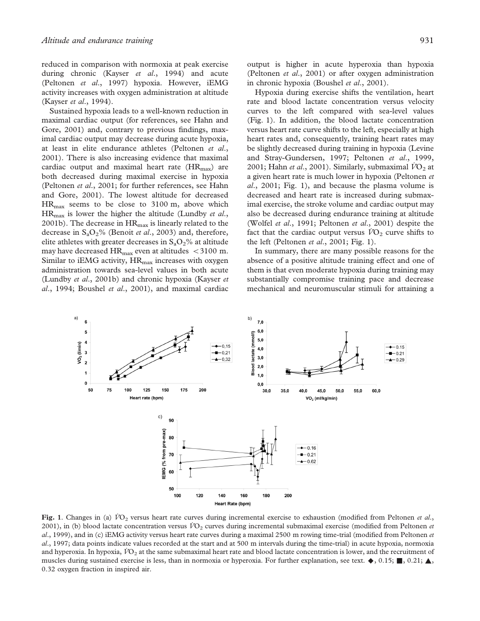reduced in comparison with normoxia at peak exercise during chronic (Kayser et al., 1994) and acute (Peltonen et al., 1997) hypoxia. However, iEMG activity increases with oxygen administration at altitude (Kayser et al., 1994).

Sustained hypoxia leads to a well-known reduction in maximal cardiac output (for references, see Hahn and Gore, 2001) and, contrary to previous findings, maximal cardiac output may decrease during acute hypoxia, at least in elite endurance athletes (Peltonen et al., 2001). There is also increasing evidence that maximal cardiac output and maximal heart rate  $(HR_{\text{max}})$  are both decreased during maximal exercise in hypoxia (Peltonen et al., 2001; for further references, see Hahn and Gore, 2001). The lowest altitude for decreased  $HR_{\text{max}}$  seems to be close to 3100 m, above which  $HR_{\text{max}}$  is lower the higher the altitude (Lundby *et al.*, 2001b). The decrease in  $HR<sub>max</sub>$  is linearly related to the decrease in  $S_aO_2\%$  (Benoit *et al.*, 2003) and, therefore, elite athletes with greater decreases in  $S_aO_2$ % at altitude may have decreased  $HR_{max}$  even at altitudes < 3100 m. Similar to iEMG activity,  $HR_{\text{max}}$  increases with oxygen administration towards sea-level values in both acute (Lundby et al., 2001b) and chronic hypoxia (Kayser et  $al$ , 1994; Boushel et  $al$ , 2001), and maximal cardiac

output is higher in acute hyperoxia than hypoxia (Peltonen et al., 2001) or after oxygen administration in chronic hypoxia (Boushel et al., 2001).

Hypoxia during exercise shifts the ventilation, heart rate and blood lactate concentration versus velocity curves to the left compared with sea-level values (Fig. 1). In addition, the blood lactate concentration versus heart rate curve shifts to the left, especially at high heart rates and, consequently, training heart rates may be slightly decreased during training in hypoxia (Levine and Stray-Gundersen, 1997; Peltonen et al., 1999, 2001; Hahn *et al.*, 2001). Similarly, submaximal  $\overline{VO}_2$  at a given heart rate is much lower in hypoxia (Peltonen et  $al., 2001; Fig. 1), and because the plasma volume is$ decreased and heart rate is increased during submaximal exercise, the stroke volume and cardiac output may also be decreased during endurance training at altitude (Wolfel et al., 1991; Peltonen et al., 2001) despite the fact that the cardiac output versus  $\dot{V}O_2$  curve shifts to the left (Peltonen *et al.*, 2001; Fig. 1).

In summary, there are many possible reasons for the absence of a positive altitude training effect and one of them is that even moderate hypoxia during training may substantially compromise training pace and decrease mechanical and neuromuscular stimuli for attaining a



Fig. 1. Changes in (a)  $\dot{V}O_2$  versus heart rate curves during incremental exercise to exhaustion (modified from Peltonen et al., 2001), in (b) blood lactate concentration versus  $\dot{V}O_2$  curves during incremental submaximal exercise (modified from Peltonen et al., 1999), and in (c) iEMG activity versus heart rate curves during a maximal 2500 m rowing time-trial (modified from Peltonen et al., 1997; data points indicate values recorded at the start and at 500 m intervals during the time-trial) in acute hypoxia, normoxia and hyperoxia. In hypoxia,  $\dot{V}O_2$  at the same submaximal heart rate and blood lactate concentration is lower, and the recruitment of muscles during sustained exercise is less, than in normoxia or hyperoxia. For further explanation, see text.  $\blacklozenge$ , 0.15; , 0.21;  $\blacktriangle$ , 0.32 oxygen fraction in inspired air.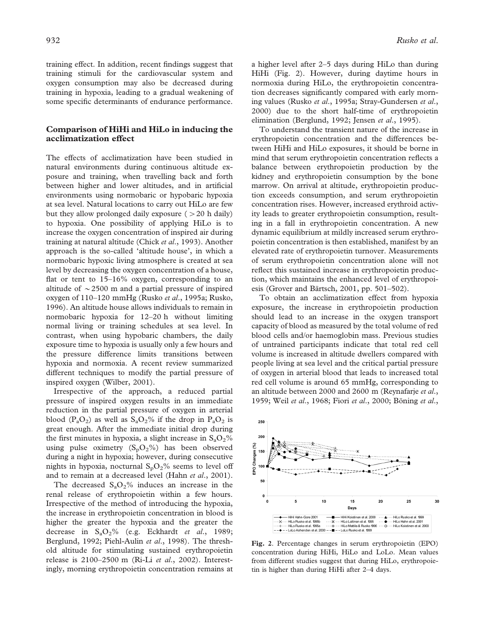training effect. In addition, recent findings suggest that training stimuli for the cardiovascular system and oxygen consumption may also be decreased during training in hypoxia, leading to a gradual weakening of some specific determinants of endurance performance.

# Comparison of HiHi and HiLo in inducing the acclimatization effect

The effects of acclimatization have been studied in natural environments during continuous altitude exposure and training, when travelling back and forth between higher and lower altitudes, and in artificial environments using normobaric or hypobaric hypoxia at sea level. Natural locations to carry out HiLo are few but they allow prolonged daily exposure  $(>20$  h daily) to hypoxia. One possibility of applying HiLo is to increase the oxygen concentration of inspired air during training at natural altitude (Chick et al., 1993). Another approach is the so-called 'altitude house', in which a normobaric hypoxic living atmosphere is created at sea level by decreasing the oxygen concentration of a house, flat or tent to 15–16% oxygen, corresponding to an altitude of  $\sim$  2500 m and a partial pressure of inspired oxygen of 110-120 mmHg (Rusko et al., 1995a; Rusko, 1996). An altitude house allows individuals to remain in normobaric hypoxia for 12–20 h without limiting normal living or training schedules at sea level. In contrast, when using hypobaric chambers, the daily exposure time to hypoxia is usually only a few hours and the pressure difference limits transitions between hypoxia and normoxia. A recent review summarized different techniques to modify the partial pressure of inspired oxygen (Wilber, 2001).

Irrespective of the approach, a reduced partial pressure of inspired oxygen results in an immediate reduction in the partial pressure of oxygen in arterial blood  $(P_aO_2)$  as well as  $S_aO_2\%$  if the drop in  $P_aO_2$  is great enough. After the immediate initial drop during the first minutes in hypoxia, a slight increase in  $S_aO_2\%$ using pulse oximetry  $(S_pO_2\%)$  has been observed during a night in hypoxia; however, during consecutive nights in hypoxia, nocturnal  $S_pO_2\%$  seems to level off and to remain at a decreased level (Hahn et al., 2001).

The decreased  $S_aO_2\%$  induces an increase in the renal release of erythropoietin within a few hours. Irrespective of the method of introducing the hypoxia, the increase in erythropoietin concentration in blood is higher the greater the hypoxia and the greater the decrease in  $S_aO_2\%$  (e.g. Eckhardt *et al.*, 1989; Berglund, 1992; Piehl-Aulin et al., 1998). The threshold altitude for stimulating sustained erythropoietin release is 2100–2500 m (Ri-Li et al., 2002). Interestingly, morning erythropoietin concentration remains at a higher level after 2–5 days during HiLo than during HiHi (Fig. 2). However, during daytime hours in normoxia during HiLo, the erythropoietin concentration decreases significantly compared with early morning values (Rusko et al., 1995a; Stray-Gundersen et al., 2000) due to the short half-time of erythropoietin elimination (Berglund, 1992; Jensen et al., 1995).

To understand the transient nature of the increase in erythropoietin concentration and the differences between HiHi and HiLo exposures, it should be borne in mind that serum erythropoietin concentration reflects a balance between erythropoietin production by the kidney and erythropoietin consumption by the bone marrow. On arrival at altitude, erythropoietin production exceeds consumption, and serum erythropoietin concentration rises. However, increased erythroid activity leads to greater erythropoietin consumption, resulting in a fall in erythropoietin concentration. A new dynamic equilibrium at mildly increased serum erythropoietin concentration is then established, manifest by an elevated rate of erythropoietin turnover. Measurements of serum erythropoietin concentration alone will not reflect this sustained increase in erythropoietin production, which maintains the enhanced level of erythropoiesis (Grover and Bärtsch, 2001, pp. 501-502).

To obtain an acclimatization effect from hypoxia exposure, the increase in erythropoietin production should lead to an increase in the oxygen transport capacity of blood as measured by the total volume of red blood cells and/or haemoglobin mass. Previous studies of untrained participants indicate that total red cell volume is increased in altitude dwellers compared with people living at sea level and the critical partial pressure of oxygen in arterial blood that leads to increased total red cell volume is around 65 mmHg, corresponding to an altitude between 2000 and 2600 m (Reynafarje et al., 1959; Weil et al., 1968; Fiori et al., 2000; Böning et al.,



Fig. 2. Percentage changes in serum erythropoietin (EPO) concentration during HiHi, HiLo and LoLo. Mean values from different studies suggest that during HiLo, erythropoietin is higher than during HiHi after 2–4 days.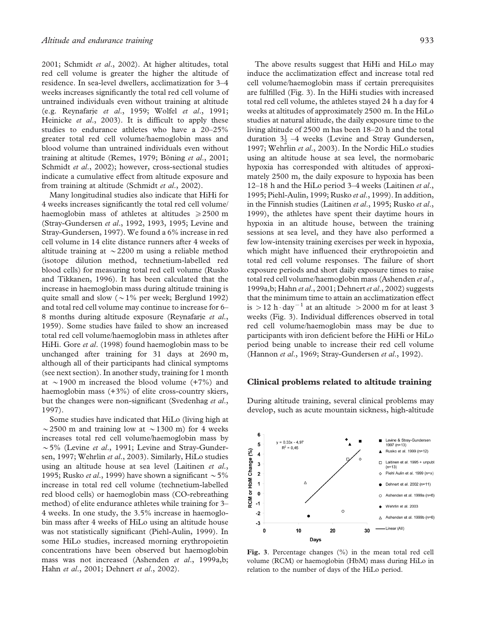2001; Schmidt et al., 2002). At higher altitudes, total red cell volume is greater the higher the altitude of residence. In sea-level dwellers, acclimatization for 3–4 weeks increases significantly the total red cell volume of untrained individuals even without training at altitude (e.g. Reynafarje et al., 1959; Wolfel et al., 1991; Heinicke et al., 2003). It is difficult to apply these studies to endurance athletes who have a 20–25% greater total red cell volume/haemoglobin mass and blood volume than untrained individuals even without training at altitude (Remes, 1979; Böning et al., 2001; Schmidt et al., 2002); however, cross-sectional studies indicate a cumulative effect from altitude exposure and from training at altitude (Schmidt et al., 2002).

Many longitudinal studies also indicate that HiHi for 4 weeks increases significantly the total red cell volume/ haemoglobin mass of athletes at altitudes  $\geq 2500$  m (Stray-Gundersen et al., 1992, 1993, 1995; Levine and Stray-Gundersen, 1997). We found a 6% increase in red cell volume in 14 elite distance runners after 4 weeks of altitude training at  $\sim$  2200 m using a reliable method (isotope dilution method, technetium-labelled red blood cells) for measuring total red cell volume (Rusko and Tikkanen, 1996). It has been calculated that the increase in haemoglobin mass during altitude training is quite small and slow ( $\sim$ 1% per week; Berglund 1992) and total red cell volume may continue to increase for 6– 8 months during altitude exposure (Reynafarie et al., 1959). Some studies have failed to show an increased total red cell volume/haemoglobin mass in athletes after HiHi. Gore et al. (1998) found haemoglobin mass to be unchanged after training for 31 days at 2690 m, although all of their participants had clinical symptoms (see next section). In another study, training for 1 month at  $\sim$ 1900 m increased the blood volume (+7%) and haemoglobin mass (+3%) of elite cross-country skiers, but the changes were non-significant (Svedenhag et al., 1997).

Some studies have indicated that HiLo (living high at  $\sim$  2500 m and training low at  $\sim$  1300 m) for 4 weeks increases total red cell volume/haemoglobin mass by  $\sim$  5% (Levine et al., 1991; Levine and Stray-Gundersen, 1997; Wehrlin et al., 2003). Similarly, HiLo studies using an altitude house at sea level (Laitinen et al., 1995; Rusko *et al.*, 1999) have shown a significant  $\sim 5\%$ increase in total red cell volume (technetium-labelled red blood cells) or haemoglobin mass (CO-rebreathing method) of elite endurance athletes while training for 3– 4 weeks. In one study, the 3.5% increase in haemoglobin mass after 4 weeks of HiLo using an altitude house was not statistically significant (Piehl-Aulin, 1999). In some HiLo studies, increased morning erythropoietin concentrations have been observed but haemoglobin mass was not increased (Ashenden et al., 1999a,b; Hahn et al., 2001; Dehnert et al., 2002).

The above results suggest that HiHi and HiLo may induce the acclimatization effect and increase total red cell volume/haemoglobin mass if certain prerequisites are fulfilled (Fig. 3). In the HiHi studies with increased total red cell volume, the athletes stayed 24 h a day for 4 weeks at altitudes of approximately 2500 m. In the HiLo studies at natural altitude, the daily exposure time to the living altitude of 2500 m has been 18–20 h and the total duration  $3\frac{1}{2}$  –4 weeks (Levine and Stray Gundersen, 1997; Wehrlin et al., 2003). In the Nordic HiLo studies using an altitude house at sea level, the normobaric hypoxia has corresponded with altitudes of approximately 2500 m, the daily exposure to hypoxia has been 12–18 h and the HiLo period 3–4 weeks (Laitinen et al., 1995; Piehl-Aulin, 1999; Rusko et al., 1999). In addition, in the Finnish studies (Laitinen et al., 1995; Rusko et al., 1999), the athletes have spent their daytime hours in hypoxia in an altitude house, between the training sessions at sea level, and they have also performed a few low-intensity training exercises per week in hypoxia, which might have influenced their erythropoietin and total red cell volume responses. The failure of short exposure periods and short daily exposure times to raise total red cell volume/haemoglobin mass (Ashenden et al., 1999a,b; Hahn et al., 2001; Dehnert et al., 2002) suggests that the minimum time to attain an acclimatization effect is  $> 12$  h $\cdot$  day<sup>-1</sup> at an altitude  $> 2000$  m for at least 3 weeks (Fig. 3). Individual differences observed in total red cell volume/haemoglobin mass may be due to participants with iron deficient before the HiHi or HiLo period being unable to increase their red cell volume (Hannon et al., 1969; Stray-Gundersen et al., 1992).

# Clinical problems related to altitude training

During altitude training, several clinical problems may develop, such as acute mountain sickness, high-altitude



Fig. 3. Percentage changes (%) in the mean total red cell volume (RCM) or haemoglobin (HbM) mass during HiLo in relation to the number of days of the HiLo period.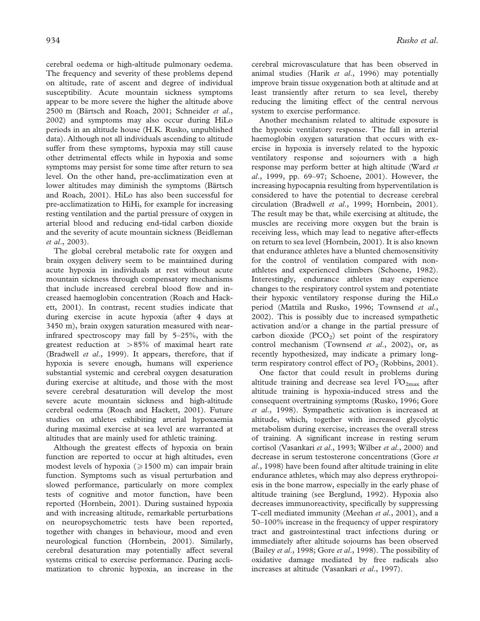cerebral oedema or high-altitude pulmonary oedema. The frequency and severity of these problems depend on altitude, rate of ascent and degree of individual susceptibility. Acute mountain sickness symptoms appear to be more severe the higher the altitude above 2500 m (Bärtsch and Roach, 2001; Schneider et al., 2002) and symptoms may also occur during HiLo periods in an altitude house (H.K. Rusko, unpublished data). Although not all individuals ascending to altitude suffer from these symptoms, hypoxia may still cause other detrimental effects while in hypoxia and some symptoms may persist for some time after return to sea level. On the other hand, pre-acclimatization even at lower altitudes may diminish the symptoms (Bärtsch and Roach, 2001). HiLo has also been successful for pre-acclimatization to HiHi, for example for increasing resting ventilation and the partial pressure of oxygen in arterial blood and reducing end-tidal carbon dioxide and the severity of acute mountain sickness (Beidleman et al., 2003).

The global cerebral metabolic rate for oxygen and brain oxygen delivery seem to be maintained during acute hypoxia in individuals at rest without acute mountain sickness through compensatory mechanisms that include increased cerebral blood flow and increased haemoglobin concentration (Roach and Hackett, 2001). In contrast, recent studies indicate that during exercise in acute hypoxia (after 4 days at 3450 m), brain oxygen saturation measured with nearinfrared spectroscopy may fall by 5–25%, with the greatest reduction at  $>85\%$  of maximal heart rate (Bradwell et al., 1999). It appears, therefore, that if hypoxia is severe enough, humans will experience substantial systemic and cerebral oxygen desaturation during exercise at altitude, and those with the most severe cerebral desaturation will develop the most severe acute mountain sickness and high-altitude cerebral oedema (Roach and Hackett, 2001). Future studies on athletes exhibiting arterial hypoxaemia during maximal exercise at sea level are warranted at altitudes that are mainly used for athletic training.

Although the greatest effects of hypoxia on brain function are reported to occur at high altitudes, even modest levels of hypoxia ( $\geq 1500$  m) can impair brain function. Symptoms such as visual perturbation and slowed performance, particularly on more complex tests of cognitive and motor function, have been reported (Hornbein, 2001). During sustained hypoxia and with increasing altitude, remarkable perturbations on neuropsychometric tests have been reported, together with changes in behaviour, mood and even neurological function (Hornbein, 2001). Similarly, cerebral desaturation may potentially affect several systems critical to exercise performance. During acclimatization to chronic hypoxia, an increase in the cerebral microvasculature that has been observed in animal studies (Harik et al., 1996) may potentially improve brain tissue oxygenation both at altitude and at least transiently after return to sea level, thereby reducing the limiting effect of the central nervous system to exercise performance.

Another mechanism related to altitude exposure is the hypoxic ventilatory response. The fall in arterial haemoglobin oxygen saturation that occurs with exercise in hypoxia is inversely related to the hypoxic ventilatory response and sojourners with a high response may perform better at high altitude (Ward et al., 1999, pp. 69–97; Schoene, 2001). However, the increasing hypocapnia resulting from hyperventilation is considered to have the potential to decrease cerebral circulation (Bradwell et al., 1999; Hornbein, 2001). The result may be that, while exercising at altitude, the muscles are receiving more oxygen but the brain is receiving less, which may lead to negative after-effects on return to sea level (Hornbein, 2001). It is also known that endurance athletes have a blunted chemosensitivity for the control of ventilation compared with nonathletes and experienced climbers (Schoene, 1982). Interestingly, endurance athletes may experience changes to the respiratory control system and potentiate their hypoxic ventilatory response during the HiLo period (Mattila and Rusko, 1996; Townsend et al., 2002). This is possibly due to increased sympathetic activation and/or a change in the partial pressure of carbon dioxide  $(PCO<sub>2</sub>)$  set point of the respiratory control mechanism (Townsend et al., 2002), or, as recently hypothesized, may indicate a primary longterm respiratory control effect of  $PO<sub>2</sub>$  (Robbins, 2001).

One factor that could result in problems during altitude training and decrease sea level  $VO_{2\text{max}}$  after altitude training is hypoxia-induced stress and the consequent overtraining symptoms (Rusko, 1996; Gore et al., 1998). Sympathetic activation is increased at altitude, which, together with increased glycolytic metabolism during exercise, increases the overall stress of training. A significant increase in resting serum cortisol (Vasankari et al., 1993; Wilber et al., 2000) and decrease in serum testosterone concentrations (Gore et al., 1998) have been found after altitude training in elite endurance athletes, which may also depress erythropoiesis in the bone marrow, especially in the early phase of altitude training (see Berglund, 1992). Hypoxia also decreases immunoreactivity, specifically by suppressing T-cell mediated immunity (Meehan et al., 2001), and a 50–100% increase in the frequency of upper respiratory tract and gastrointestinal tract infections during or immediately after altitude sojourns has been observed (Bailey *et al.*, 1998; Gore *et al.*, 1998). The possibility of oxidative damage mediated by free radicals also increases at altitude (Vasankari et al., 1997).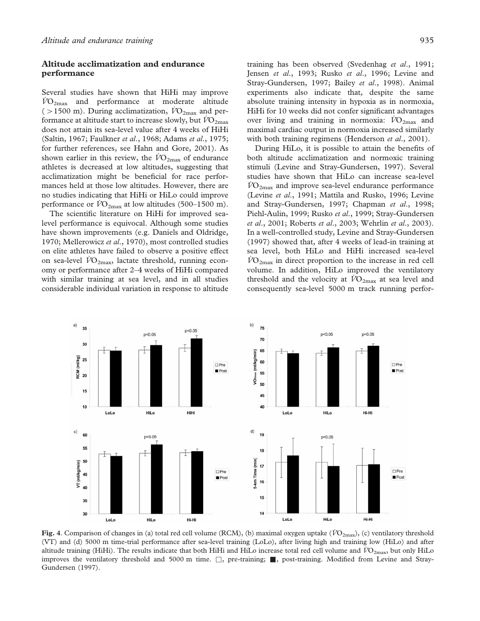# Altitude acclimatization and endurance performance

Several studies have shown that HiHi may improve  $VO<sub>2max</sub>$  and performance at moderate altitude ( $>1500$  m). During acclimatization,  $\dot{V}O_{2\text{max}}$  and performance at altitude start to increase slowly, but  $\rm\ddot{VO}_{2max}$ does not attain its sea-level value after 4 weeks of HiHi (Saltin, 1967; Faulkner et al., 1968; Adams et al., 1975; for further references, see Hahn and Gore, 2001). As shown earlier in this review, the  $\overline{VO}_{2\text{max}}$  of endurance athletes is decreased at low altitudes, suggesting that acclimatization might be beneficial for race performances held at those low altitudes. However, there are no studies indicating that HiHi or HiLo could improve performance or  $\dot{V}O_{2\text{max}}$  at low altitudes (500–1500 m).

The scientific literature on HiHi for improved sealevel performance is equivocal. Although some studies have shown improvements (e.g. Daniels and Oldridge, 1970; Mellerowicz et al., 1970), most controlled studies on elite athletes have failed to observe a positive effect on sea-level  $\overline{VO}_{2\text{max}}$ , lactate threshold, running economy or performance after 2–4 weeks of HiHi compared with similar training at sea level, and in all studies considerable individual variation in response to altitude

training has been observed (Svedenhag et al., 1991; Jensen et al., 1993; Rusko et al., 1996; Levine and Stray-Gundersen, 1997; Bailey et al., 1998). Animal experiments also indicate that, despite the same absolute training intensity in hypoxia as in normoxia, HiHi for 10 weeks did not confer significant advantages over living and training in normoxia:  $\dot{V}O_{2\text{max}}$  and maximal cardiac output in normoxia increased similarly with both training regimens (Henderson et al., 2001).

During HiLo, it is possible to attain the benefits of both altitude acclimatization and normoxic training stimuli (Levine and Stray-Gundersen, 1997). Several studies have shown that HiLo can increase sea-level  $\rm\dot{VO}_{2max}$  and improve sea-level endurance performance (Levine et al., 1991; Mattila and Rusko, 1996; Levine and Stray-Gundersen, 1997; Chapman et al., 1998; Piehl-Aulin, 1999; Rusko et al., 1999; Stray-Gundersen et al., 2001; Roberts et al., 2003; Wehrlin et al., 2003). In a well-controlled study, Levine and Stray-Gundersen (1997) showed that, after 4 weeks of lead-in training at sea level, both HiLo and HiHi increased sea-level  $\overline{VO}_{2\text{max}}$  in direct proportion to the increase in red cell volume. In addition, HiLo improved the ventilatory threshold and the velocity at  $\overline{VO}_{2\text{max}}$  at sea level and consequently sea-level 5000 m track running perfor-



Fig. 4. Comparison of changes in (a) total red cell volume (RCM), (b) maximal oxygen uptake ( $\dot{V}O_{2\text{max}}$ ), (c) ventilatory threshold (VT) and (d) 5000 m time-trial performance after sea-level training (LoLo), after living high and training low (HiLo) and after altitude training (HiHi). The results indicate that both HiHi and HiLo increase total red cell volume and  $\dot{V}O_{2\text{max}}$ , but only HiLo improves the ventilatory threshold and 5000 m time.  $\square$ , pre-training; so post-training. Modified from Levine and Stray-Gundersen (1997).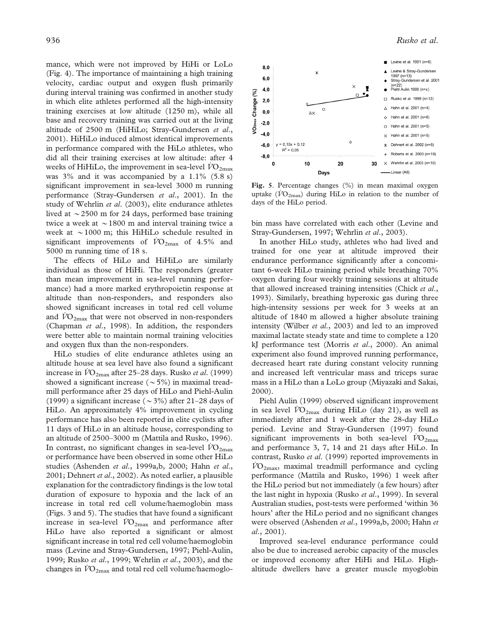mance, which were not improved by HiHi or LoLo (Fig. 4). The importance of maintaining a high training velocity, cardiac output and oxygen flush primarily during interval training was confirmed in another study in which elite athletes performed all the high-intensity training exercises at low altitude (1250 m), while all base and recovery training was carried out at the living altitude of 2500 m (HiHiLo; Stray-Gundersen et al., 2001). HiHiLo induced almost identical improvements in performance compared with the HiLo athletes, who did all their training exercises at low altitude: after 4 weeks of HiHiLo, the improvement in sea-level  $\rm\ddot{VO}_{2max}$ was 3% and it was accompanied by a 1.1% (5.8 s) significant improvement in sea-level 3000 m running performance (Stray-Gundersen et al., 2001). In the study of Wehrlin *et al.* (2003), elite endurance athletes lived at  $\sim$  2500 m for 24 days, performed base training twice a week at  $\sim$  1800 m and interval training twice a week at  $\sim$  1000 m; this HiHiLo schedule resulted in significant improvements of  $\rm\ddot{VO}_{2max}$  of 4.5% and 5000 m running time of 18 s.

The effects of HiLo and HiHiLo are similarly individual as those of HiHi. The responders (greater than mean improvement in sea-level running performance) had a more marked erythropoietin response at altitude than non-responders, and responders also showed significant increases in total red cell volume and  $VO_{2\text{max}}$  that were not observed in non-responders (Chapman et al., 1998). In addition, the responders were better able to maintain normal training velocities and oxygen flux than the non-responders.

HiLo studies of elite endurance athletes using an altitude house at sea level have also found a significant increase in  $VO_{2\text{max}}$  after 25–28 days. Rusko *et al.* (1999) showed a significant increase ( $\sim$ 5%) in maximal treadmill performance after 25 days of HiLo and Piehl-Aulin (1999) a significant increase ( $\sim$ 3%) after 21–28 days of HiLo. An approximately 4% improvement in cycling performance has also been reported in elite cyclists after 11 days of HiLo in an altitude house, corresponding to an altitude of 2500–3000 m (Mattila and Rusko, 1996). In contrast, no significant changes in sea-level  $\dot{V}O_{2\text{max}}$ or performance have been observed in some other HiLo studies (Ashenden et al., 1999a,b, 2000; Hahn et al., 2001; Dehnert et al., 2002). As noted earlier, a plausible explanation for the contradictory findings is the low total duration of exposure to hypoxia and the lack of an increase in total red cell volume/haemoglobin mass (Figs. 3 and 5). The studies that have found a significant increase in sea-level  $\dot{V}O_{2\text{max}}$  and performance after HiLo have also reported a significant or almost significant increase in total red cell volume/haemoglobin mass (Levine and Stray-Gundersen, 1997; Piehl-Aulin, 1999; Rusko et al., 1999; Wehrlin et al., 2003), and the changes in  $\dot{V}O_{2\text{max}}$  and total red cell volume/haemoglo-



Fig. 5. Percentage changes (%) in mean maximal oxygen uptake ( $\dot{V}O_{2\text{max}}$ ) during HiLo in relation to the number of days of the HiLo period.

bin mass have correlated with each other (Levine and Stray-Gundersen, 1997; Wehrlin et al., 2003).

In another HiLo study, athletes who had lived and trained for one year at altitude improved their endurance performance significantly after a concomitant 6-week HiLo training period while breathing 70% oxygen during four weekly training sessions at altitude that allowed increased training intensities (Chick et al., 1993). Similarly, breathing hyperoxic gas during three high-intensity sessions per week for 3 weeks at an altitude of 1840 m allowed a higher absolute training intensity (Wilber et al., 2003) and led to an improved maximal lactate steady state and time to complete a 120 kJ performance test (Morris et al., 2000). An animal experiment also found improved running performance, decreased heart rate during constant velocity running and increased left ventricular mass and triceps surae mass in a HiLo than a LoLo group (Miyazaki and Sakai, 2000).

Piehl Aulin (1999) observed significant improvement in sea level  $\dot{V}O_{2\text{max}}$  during HiLo (day 21), as well as immediately after and 1 week after the 28-day HiLo period. Levine and Stray-Gundersen (1997) found significant improvements in both sea-level  $\rm\ddot{VO}_{2max}$ and performance 3, 7, 14 and 21 days after HiLo. In contrast, Rusko et al. (1999) reported improvements in  $\dot{V}O_{2\text{max}}$ , maximal treadmill performance and cycling performance (Mattila and Rusko, 1996) 1 week after the HiLo period but not immediately (a few hours) after the last night in hypoxia (Rusko et al., 1999). In several Australian studies, post-tests were performed 'within 36 hours' after the HiLo period and no significant changes were observed (Ashenden et al., 1999a,b, 2000; Hahn et al., 2001).

Improved sea-level endurance performance could also be due to increased aerobic capacity of the muscles or improved economy after HiHi and HiLo. Highaltitude dwellers have a greater muscle myoglobin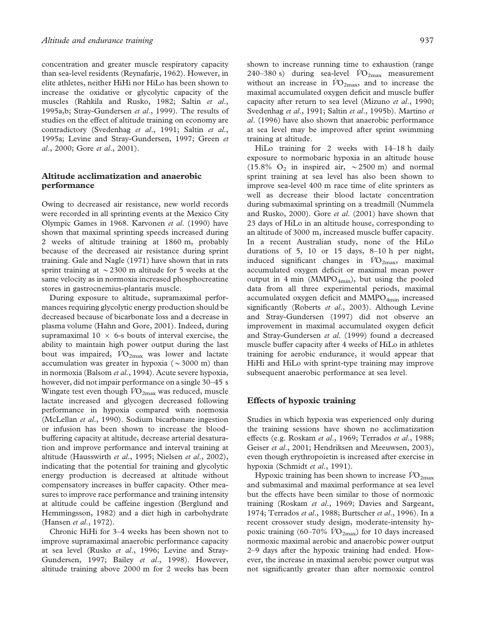concentration and greater muscle respiratory capacity than sea-level residents (Reynafarje, 1962). However, in elite athletes, neither HiHi nor HiLo has been shown to increase the oxidative or glycolytic capacity of the muscles (Rahkila and Rusko, 1982; Saltin et al., 1995a,b; Stray-Gundersen et al., 1999). The results of studies on the effect of altitude training on economy are contradictory (Svedenhag et al., 1991; Saltin et al., 1995a; Levine and Stray-Gundersen, 1997; Green et al., 2000; Gore et al., 2001).

# Altitude acclimatization and anaerobic performance

Owing to decreased air resistance, new world records were recorded in all sprinting events at the Mexico City Olympic Games in 1968. Karvonen et al. (1990) have shown that maximal sprinting speeds increased during 2 weeks of altitude training at 1860 m, probably because of the decreased air resistance during sprint training. Gale and Nagle (1971) have shown that in rats sprint training at  $\sim$  2300 m altitude for 5 weeks at the same velocity as in normoxia increased phosphocreatine stores in gastrocnemius-plantaris muscle.

During exposure to altitude, supramaximal performances requiring glycolytic energy production should be decreased because of bicarbonate loss and a decrease in plasma volume (Hahn and Gore, 2001). Indeed, during supramaximal  $10 \times 6$ -s bouts of interval exercise, the ability to maintain high power output during the last bout was impaired,  $\dot{V}O_{2\text{max}}$  was lower and lactate accumulation was greater in hypoxia ( $\sim$ 3000 m) than in normoxia (Balsom et al., 1994). Acute severe hypoxia, however, did not impair performance on a single 30–45 s Wingate test even though  $\dot{V}O_{2\text{max}}$  was reduced, muscle lactate increased and glycogen decreased following performance in hypoxia compared with normoxia (McLellan et al., 1990). Sodium bicarbonate ingestion or infusion has been shown to increase the bloodbuffering capacity at altitude, decrease arterial desaturation and improve performance and interval training at altitude (Hausswirth et al., 1995; Nielsen et al., 2002), indicating that the potential for training and glycolytic energy production is decreased at altitude without compensatory increases in buffer capacity. Other measures to improve race performance and training intensity at altitude could be caffeine ingestion (Berglund and Hemmingsson, 1982) and a diet high in carbohydrate (Hansen et al., 1972).

Chronic HiHi for 3–4 weeks has been shown not to improve supramaximal anaerobic performance capacity at sea level (Rusko et al., 1996; Levine and Stray-Gundersen, 1997; Bailey et al., 1998). However, altitude training above 2000 m for 2 weeks has been

shown to increase running time to exhaustion (range 240–380 s) during sea-level  $\dot{V}O_{2\text{max}}$  measurement without an increase in  $\dot{V}O_{2\text{max}}$ , and to increase the maximal accumulated oxygen deficit and muscle buffer capacity after return to sea level (Mizuno et al., 1990; Svedenhag et al., 1991; Saltin et al., 1995b). Martino et al. (1996) have also shown that anaerobic performance at sea level may be improved after sprint swimming training at altitude.

HiLo training for 2 weeks with 14–18 h daily exposure to normobaric hypoxia in an altitude house (15.8%  $O_2$  in inspired air,  $\sim$  2500 m) and normal sprint training at sea level has also been shown to improve sea-level 400 m race time of elite sprinters as well as decrease their blood lactate concentration during submaximal sprinting on a treadmill (Nummela and Rusko, 2000). Gore et al. (2001) have shown that 23 days of HiLo in an altitude house, corresponding to an altitude of 3000 m, increased muscle buffer capacity. In a recent Australian study, none of the HiLo durations of 5, 10 or 15 days, 8–10 h per night, induced significant changes in  $\dot{V}O_{2\text{max}}$ , maximal accumulated oxygen deficit or maximal mean power output in 4 min (MMPO $_{4min}$ ), but using the pooled data from all three experimental periods, maximal accumulated oxygen deficit and  $MMPO<sub>4min</sub>$  increased significantly (Roberts et al., 2003). Although Levine and Stray-Gundersen (1997) did not observe an improvement in maximal accumulated oxygen deficit and Stray-Gundersen et al. (1999) found a decreased muscle buffer capacity after 4 weeks of HiLo in athletes training for aerobic endurance, it would appear that HiHi and HiLo with sprint-type training may improve subsequent anaerobic performance at sea level.

#### Effects of hypoxic training

Studies in which hypoxia was experienced only during the training sessions have shown no acclimatization effects (e.g. Roskam et al., 1969; Terrados et al., 1988; Geiser et al., 2001; Hendriksen and Meeuwsen, 2003), even though erythropoietin is increased after exercise in hypoxia (Schmidt et al., 1991).

Hypoxic training has been shown to increase  $V_{}$ O<sub>2max</sub> and submaximal and maximal performance at sea level but the effects have been similar to those of normoxic training (Roskam et al., 1969; Davies and Sargeant, 1974; Terrados et al., 1988; Burtscher et al., 1996). In a recent crossover study design, moderate-intensity hypoxic training (60–70%  $\rm\,VO_{2max}$ ) for 10 days increased normoxic maximal aerobic and anaerobic power output 2–9 days after the hypoxic training had ended. However, the increase in maximal aerobic power output was not significantly greater than after normoxic control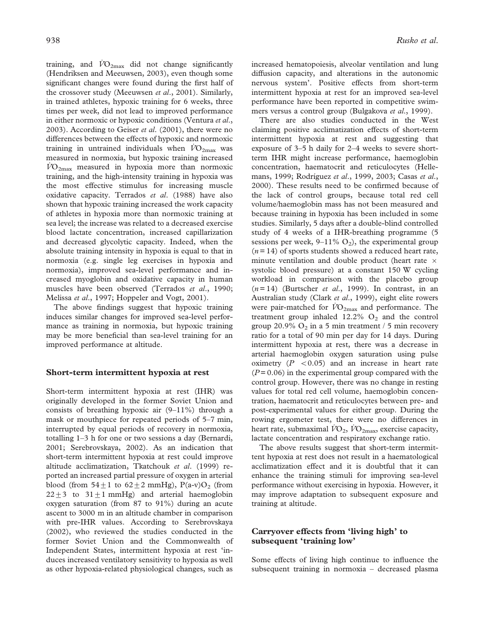training, and  $\dot{V}\text{O}_{2\text{max}}$  did not change significantly (Hendriksen and Meeuwsen, 2003), even though some significant changes were found during the first half of the crossover study (Meeuwsen *et al.*, 2001). Similarly, in trained athletes, hypoxic training for 6 weeks, three times per week, did not lead to improved performance in either normoxic or hypoxic conditions (Ventura et al., 2003). According to Geiser et al. (2001), there were no differences between the effects of hypoxic and normoxic training in untrained individuals when  $VO_{2\text{max}}$  was measured in normoxia, but hypoxic training increased  $VO<sub>2max</sub>$  measured in hypoxia more than normoxic training, and the high-intensity training in hypoxia was the most effective stimulus for increasing muscle oxidative capacity. Terrados et al. (1988) have also shown that hypoxic training increased the work capacity of athletes in hypoxia more than normoxic training at sea level; the increase was related to a decreased exercise blood lactate concentration, increased capillarization and decreased glycolytic capacity. Indeed, when the absolute training intensity in hypoxia is equal to that in normoxia (e.g. single leg exercises in hypoxia and normoxia), improved sea-level performance and increased myoglobin and oxidative capacity in human muscles have been observed (Terrados et al., 1990; Melissa et al., 1997; Hoppeler and Vogt, 2001).

The above findings suggest that hypoxic training induces similar changes for improved sea-level performance as training in normoxia, but hypoxic training may be more beneficial than sea-level training for an improved performance at altitude.

#### Short-term intermittent hypoxia at rest

Short-term intermittent hypoxia at rest (IHR) was originally developed in the former Soviet Union and consists of breathing hypoxic air  $(9-11\%)$  through a mask or mouthpiece for repeated periods of 5–7 min, interrupted by equal periods of recovery in normoxia, totalling 1–3 h for one or two sessions a day (Bernardi, 2001; Serebrovskaya, 2002). As an indication that short-term intermittent hypoxia at rest could improve altitude acclimatization, Tkatchouk et al. (1999) reported an increased partial pressure of oxygen in arterial blood (from  $54 \pm 1$  to  $62 \pm 2$  mmHg), P(a-v)O<sub>2</sub> (from  $22+3$  to  $31+1$  mmHg) and arterial haemoglobin oxygen saturation (from 87 to 91%) during an acute ascent to 3000 m in an altitude chamber in comparison with pre-IHR values. According to Serebrovskaya (2002), who reviewed the studies conducted in the former Soviet Union and the Commonwealth of Independent States, intermittent hypoxia at rest 'induces increased ventilatory sensitivity to hypoxia as well as other hypoxia-related physiological changes, such as

increased hematopoiesis, alveolar ventilation and lung diffusion capacity, and alterations in the autonomic nervous system'. Positive effects from short-term intermittent hypoxia at rest for an improved sea-level performance have been reported in competitive swimmers versus a control group (Bulgakova et al., 1999).

There are also studies conducted in the West claiming positive acclimatization effects of short-term intermittent hypoxia at rest and suggesting that exposure of 3–5 h daily for 2–4 weeks to severe shortterm IHR might increase performance, haemoglobin concentration, haematocrit and reticulocytes (Hellemans, 1999; Rodríguez et al., 1999, 2003; Casas et al., 2000). These results need to be confirmed because of the lack of control groups, because total red cell volume/haemoglobin mass has not been measured and because training in hypoxia has been included in some studies. Similarly, 5 days after a double-blind controlled study of 4 weeks of a IHR-breathing programme (5 sessions per week,  $9-11\%$  O<sub>2</sub>), the experimental group  $(n=14)$  of sports students showed a reduced heart rate, minute ventilation and double product (heart rate  $\times$ systolic blood pressure) at a constant 150 W cycling workload in comparison with the placebo group  $(n=14)$  (Burtscher *et al.*, 1999). In contrast, in an Australian study (Clark et al., 1999), eight elite rowers were pair-matched for  $\dot{V}O_{2\text{max}}$  and performance. The treatment group inhaled  $12.2\%$  O<sub>2</sub> and the control group 20.9%  $O_2$  in a 5 min treatment / 5 min recovery ratio for a total of 90 min per day for 14 days. During intermittent hypoxia at rest, there was a decrease in arterial haemoglobin oxygen saturation using pulse oximetry  $(P < 0.05)$  and an increase in heart rate  $(P= 0.06)$  in the experimental group compared with the control group. However, there was no change in resting values for total red cell volume, haemoglobin concentration, haematocrit and reticulocytes between pre- and post-experimental values for either group. During the rowing ergometer test, there were no differences in heart rate, submaximal  $VO<sub>2</sub>$ ,  $VO<sub>2max</sub>$ , exercise capacity, lactate concentration and respiratory exchange ratio.

The above results suggest that short-term intermittent hypoxia at rest does not result in a haematological acclimatization effect and it is doubtful that it can enhance the training stimuli for improving sea-level performance without exercising in hypoxia. However, it may improve adaptation to subsequent exposure and training at altitude.

#### Carryover effects from 'living high' to subsequent 'training low'

Some effects of living high continue to influence the subsequent training in normoxia – decreased plasma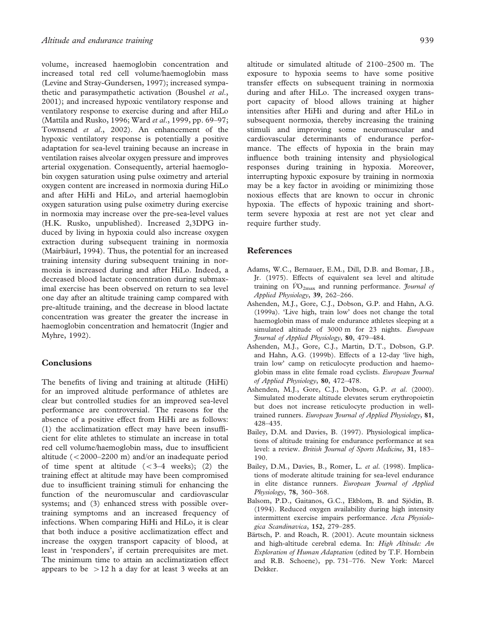volume, increased haemoglobin concentration and increased total red cell volume/haemoglobin mass (Levine and Stray-Gundersen, 1997); increased sympathetic and parasympathetic activation (Boushel et al., 2001); and increased hypoxic ventilatory response and ventilatory response to exercise during and after HiLo (Mattila and Rusko, 1996; Ward et al., 1999, pp. 69-97; Townsend et al., 2002). An enhancement of the hypoxic ventilatory response is potentially a positive adaptation for sea-level training because an increase in ventilation raises alveolar oxygen pressure and improves arterial oxygenation. Consequently, arterial haemoglobin oxygen saturation using pulse oximetry and arterial oxygen content are increased in normoxia during HiLo and after HiHi and HiLo, and arterial haemoglobin oxygen saturation using pulse oximetry during exercise in normoxia may increase over the pre-sea-level values (H.K. Rusko, unpublished). Increased 2,3DPG induced by living in hypoxia could also increase oxygen extraction during subsequent training in normoxia (Mairbäurl, 1994). Thus, the potential for an increased training intensity during subsequent training in normoxia is increased during and after HiLo. Indeed, a decreased blood lactate concentration during submaximal exercise has been observed on return to sea level one day after an altitude training camp compared with pre-altitude training, and the decrease in blood lactate concentration was greater the greater the increase in haemoglobin concentration and hematocrit (Ingjer and Myhre, 1992).

# Conclusions

The benefits of living and training at altitude (HiHi) for an improved altitude performance of athletes are clear but controlled studies for an improved sea-level performance are controversial. The reasons for the absence of a positive effect from HiHi are as follows: (1) the acclimatization effect may have been insufficient for elite athletes to stimulate an increase in total red cell volume/haemoglobin mass, due to insufficient altitude  $(<2000-2200$  m) and/or an inadequate period of time spent at altitude  $( $3-4$  weeks)$ ; (2) the training effect at altitude may have been compromised due to insufficient training stimuli for enhancing the function of the neuromuscular and cardiovascular systems; and (3) enhanced stress with possible overtraining symptoms and an increased frequency of infections. When comparing HiHi and HiLo, it is clear that both induce a positive acclimatization effect and increase the oxygen transport capacity of blood, at least in 'responders', if certain prerequisites are met. The minimum time to attain an acclimatization effect appears to be  $>12$  h a day for at least 3 weeks at an

altitude or simulated altitude of 2100–2500 m. The exposure to hypoxia seems to have some positive transfer effects on subsequent training in normoxia during and after HiLo. The increased oxygen transport capacity of blood allows training at higher intensities after HiHi and during and after HiLo in subsequent normoxia, thereby increasing the training stimuli and improving some neuromuscular and cardiovascular determinants of endurance performance. The effects of hypoxia in the brain may influence both training intensity and physiological responses during training in hypoxia. Moreover, interrupting hypoxic exposure by training in normoxia may be a key factor in avoiding or minimizing those noxious effects that are known to occur in chronic hypoxia. The effects of hypoxic training and shortterm severe hypoxia at rest are not yet clear and require further study.

# References

- Adams, W.C., Bernauer, E.M., Dill, D.B. and Bomar, J.B., Jr. (1975). Effects of equivalent sea level and altitude training on  $\dot{V}\text{O}_{2\text{max}}$  and running performance. *Journal of* Applied Physiology, 39, 262–266.
- Ashenden, M.J., Gore, C.J., Dobson, G.P. and Hahn, A.G. (1999a). 'Live high, train low' does not change the total haemoglobin mass of male endurance athletes sleeping at a simulated altitude of 3000 m for 23 nights. European Journal of Applied Physiology, 80, 479–484.
- Ashenden, M.J., Gore, C.J., Martin, D.T., Dobson, G.P. and Hahn, A.G. (1999b). Effects of a 12-day 'live high, train low' camp on reticulocyte production and haemoglobin mass in elite female road cyclists. European Journal of Applied Physiology, 80, 472–478.
- Ashenden, M.J., Gore, C.J., Dobson, G.P. et al. (2000). Simulated moderate altitude elevates serum erythropoietin but does not increase reticulocyte production in welltrained runners. European Journal of Applied Physiology, 81, 428–435.
- Bailey, D.M. and Davies, B. (1997). Physiological implications of altitude training for endurance performance at sea level: a review. British Journal of Sports Medicine, 31, 183-190.
- Bailey, D.M., Davies, B., Romer, L. et al. (1998). Implications of moderate altitude training for sea-level endurance in elite distance runners. European Journal of Applied Physiology, 78, 360–368.
- Balsom, P.D., Gaitanos, G.C., Ekblom, B. and Sjödin, B. (1994). Reduced oxygen availability during high intensity intermittent exercise impairs performance. Acta Physiologica Scandinavica, 152, 279–285.
- Bärtsch, P. and Roach, R. (2001). Acute mountain sickness and high-altitude cerebral edema. In: High Altitude: An Exploration of Human Adaptation (edited by T.F. Hornbein and R.B. Schoene), pp. 731–776. New York: Marcel Dekker.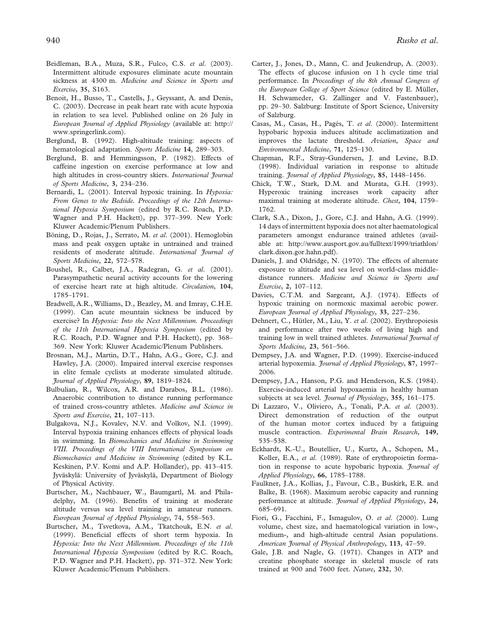- Beidleman, B.A., Muza, S.R., Fulco, C.S. et al. (2003). Intermittent altitude exposures eliminate acute mountain sickness at 4300 m. Medicine and Science in Sports and Exercise, 35, S163.
- Benoit, H., Busso, T., Castells, J., Geyssant, A. and Denis, C. (2003). Decrease in peak heart rate with acute hypoxia in relation to sea level. Published online on 26 July in European Journal of Applied Physiology (available at: http:// www.springerlink.com).
- Berglund, B. (1992). High-altitude training: aspects of hematological adaptation. Sports Medicine 14, 289-303.
- Berglund, B. and Hemmingsson, P. (1982). Effects of caffeine ingestion on exercise performance at low and high altitudes in cross-country skiers. International Journal of Sports Medicine, 3, 234–236.
- Bernardi, L. (2001). Interval hypoxic training. In Hypoxia: From Genes to the Bedside. Proceedings of the 12th International Hypoxia Symposium (edited by R.C. Roach, P.D. Wagner and P.H. Hackett), pp. 377–399. New York: Kluwer Academic/Plenum Publishers.
- Böning, D., Rojas, J., Serrato, M. et al. (2001). Hemoglobin mass and peak oxygen uptake in untrained and trained residents of moderate altitude. International Journal of Sports Medicine, 22, 572–578.
- Boushel, R., Calbet, J.A., Radegran, G. et al. (2001). Parasympathetic neural activity accounts for the lowering of exercise heart rate at high altitude. Circulation, 104, 1785–1791.
- Bradwell, A.R., Williams, D., Beazley, M. and Imray, C.H.E. (1999). Can acute mountain sickness be induced by exercise? In Hypoxia: Into the Next Millennium. Proceedings of the 11th International Hypoxia Symposium (edited by R.C. Roach, P.D. Wagner and P.H. Hackett), pp. 368– 369. New York: Kluwer Academic/Plenum Publishers.
- Brosnan, M.J., Martin, D.T., Hahn, A.G., Gore, C.J. and Hawley, J.A. (2000). Impaired interval exercise responses in elite female cyclists at moderate simulated altitude. Journal of Applied Physiology, 89, 1819–1824.
- Bulbulian, R., Wilcox, A.R. and Darabos, B.L. (1986). Anaerobic contribution to distance running performance of trained cross-country athletes. Medicine and Science in Sports and Exercise, 21, 107-113.
- Bulgakova, N.J., Kovalev, N.V. and Volkov, N.I. (1999). Interval hypoxia training enhances effects of physical loads in swimming. In Biomechanics and Medicine in Swimming VIII. Proceedings of the VIII International Symposium on Biomechanics and Medicine in Swimming (edited by K.L. Keskinen, P.V. Komi and A.P. Hollander), pp. 413–415. Jyväskylä: University of Jyväskylä, Department of Biology of Physical Activity.
- Burtscher, M., Nachbauer, W., Baumgartl, M. and Philadelphy, M. (1996). Benefits of training at moderate altitude versus sea level training in amateur runners. European Journal of Applied Physiology, 74, 558–563.
- Burtscher, M., Tsvetkova, A.M., Tkatchouk, E.N. et al. (1999). Beneficial effects of short term hypoxia. In Hypoxia: Into the Next Millennium. Proceedings of the 11th International Hypoxia Symposium (edited by R.C. Roach, P.D. Wagner and P.H. Hackett), pp. 371–372. New York: Kluwer Academic/Plenum Publishers.
- Carter, J., Jones, D., Mann, C. and Jeukendrup, A. (2003). The effects of glucose infusion on 1 h cycle time trial performance. In Proceedings of the 8th Annual Congress of the European College of Sport Science (edited by E. Müller, H. Schwameder, G. Zallinger and V. Fastenbauer), pp. 29–30. Salzburg: Institute of Sport Science, University of Salzburg.
- Casas, M., Casas, H., Pagés, T. et al. (2000). Intermittent hypobaric hypoxia induces altitude acclimatization and improves the lactate threshold. Aviation, Space and Environmental Medicine, 71, 125–130.
- Chapman, R.F., Stray-Gundersen, J. and Levine, B.D. (1998). Individual variation in response to altitude training. Journal of Applied Physiology, 85, 1448–1456.
- Chick, T.W., Stark, D.M. and Murata, G.H. (1993). Hyperoxic training increases work capacity after maximal training at moderate altitude. Chest, 104, 1759– 1762.
- Clark, S.A., Dixon, J., Gore, C.J. and Hahn, A.G. (1999). 14 days of intermittent hypoxia does not alter haematological parameters amongst endurance trained athletes (available at: http://www.ausport.gov.au/fulltext/1999/triathlon/ clark.dixon.gor.hahn.pdf).
- Daniels, J. and Oldridge, N. (1970). The effects of alternate exposure to altitude and sea level on world-class middledistance runners. Medicine and Science in Sports and Exercise, 2, 107–112.
- Davies, C.T.M. and Sargeant, A.J. (1974). Effects of hypoxic training on normoxic maximal aerobic power. European Journal of Applied Physiology, 33, 227–236.
- Dehnert, C., Hütler, M., Liu, Y. et al. (2002). Erythropoiesis and performance after two weeks of living high and training low in well trained athletes. International Journal of Sports Medicine, 23, 561-566.
- Dempsey, J.A. and Wagner, P.D. (1999). Exercise-induced arterial hypoxemia. *Journal of Applied Physiology*, 87, 1997– 2006.
- Dempsey, J.A., Hanson, P.G. and Henderson, K.S. (1984). Exercise-induced arterial hypoxaemia in healthy human subjects at sea level. *Journal of Physiology*, 355, 161-175.
- Di Lazzaro, V., Oliviero, A., Tonali, P.A. et al. (2003). Direct demonstration of reduction of the output of the human motor cortex induced by a fatiguing muscle contraction. Experimental Brain Research, 149, 535–538.
- Eckhardt, K.-U., Boutellier, U., Kurtz, A., Schopen, M., Koller, E.A., et al. (1989). Rate of erythropoietin formation in response to acute hypobaric hypoxia. Journal of Applied Physiology, 66, 1785–1788.
- Faulkner, J.A., Kollias, J., Favour, C.B., Buskirk, E.R. and Balke, B. (1968). Maximum aerobic capacity and running performance at altitude. Journal of Applied Physiology, 24, 685–691.
- Fiori, G., Facchini, F., Ismagulov, O. et al. (2000). Lung volume, chest size, and haematological variation in low-, medium-, and high-altitude central Asian populations. American Journal of Physical Anthropology, 113, 47-59.
- Gale, J.B. and Nagle, G. (1971). Changes in ATP and creatine phosphate storage in skeletal muscle of rats trained at 900 and 7600 feet. Nature, 232, 30.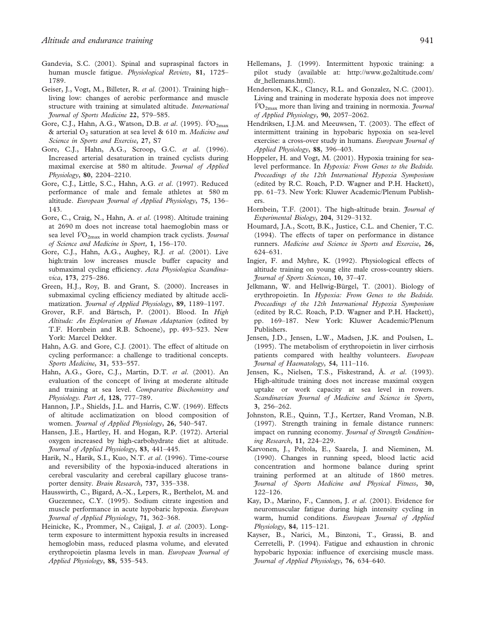- Gandevia, S.C. (2001). Spinal and supraspinal factors in human muscle fatigue. Physiological Review, 81, 1725– 1789.
- Geiser, J., Vogt, M., Billeter, R. et al. (2001). Training highliving low: changes of aerobic performance and muscle structure with training at simulated altitude. International Journal of Sports Medicine 22, 579–585.
- Gore, C.J., Hahn, A.G., Watson, D.B. et al. (1995).  $\dot{V}O_{2\text{max}}$ & arterial  $O_2$  saturation at sea level & 610 m. Medicine and Science in Sports and Exercise, 27, S7
- Gore, C.J., Hahn, A.G., Scroop, G.C. et al. (1996). Increased arterial desaturation in trained cyclists during maximal exercise at 580 m altitude. Journal of Applied Physiology, 80, 2204–2210.
- Gore, C.J., Little, S.C., Hahn, A.G. et al. (1997). Reduced performance of male and female athletes at 580 m altitude. European Journal of Applied Physiology, 75, 136– 143.
- Gore, C., Craig, N., Hahn, A. et al. (1998). Altitude training at 2690 m does not increase total haemoglobin mass or sea level  $VO_{2\text{max}}$  in world champion track cyclists. *Journal* of Science and Medicine in Sport, 1, 156–170.
- Gore, C.J., Hahn, A.G., Aughey, R.J. et al. (2001). Live high:train low increases muscle buffer capacity and submaximal cycling efficiency. Acta Physiologica Scandinavica, 173, 275–286.
- Green, H.J., Roy, B. and Grant, S. (2000). Increases in submaximal cycling efficiency mediated by altitude acclimatization. Journal of Applied Physiology, 89, 1189-1197.
- Grover, R.F. and Bärtsch, P. (2001). Blood. In High Altitude: An Exploration of Human Adaptation (edited by T.F. Hornbein and R.B. Schoene), pp. 493–523. New York: Marcel Dekker.
- Hahn, A.G. and Gore, C.J. (2001). The effect of altitude on cycling performance: a challenge to traditional concepts. Sports Medicine, 31, 533–557.
- Hahn, A.G., Gore, C.J., Martin, D.T. et al. (2001). An evaluation of the concept of living at moderate altitude and training at sea level. Comparative Biochemistry and Physiology. Part A, 128, 777–789.
- Hannon, J.P., Shields, J.L. and Harris, C.W. (1969). Effects of altitude acclimatization on blood composition of women. Journal of Applied Physiology, 26, 540-547.
- Hansen, J.E., Hartley, H. and Hogan, R.P. (1972). Arterial oxygen increased by high-carbohydrate diet at altitude. Journal of Applied Physiology, 83, 441–445.
- Harik, N., Harik, S.I., Kuo, N.T. et al. (1996). Time-course and reversibility of the hypoxia-induced alterations in cerebral vascularity and cerebral capillary glucose transporter density. Brain Research, 737, 335–338.
- Hausswirth, C., Bigard, A.-X., Lepers, R., Berthelot, M. and Guezennec, C.Y. (1995). Sodium citrate ingestion and muscle performance in acute hypobaric hypoxia. European Journal of Applied Physiology, 71, 362–368.
- Heinicke, K., Prommer, N., Cajigal, J. et al. (2003). Longterm exposure to intermittent hypoxia results in increased hemoglobin mass, reduced plasma volume, and elevated erythropoietin plasma levels in man. European Journal of Applied Physiology, 88, 535–543.
- Hellemans, J. (1999). Intermittent hypoxic training: a pilot study (available at: http://www.go2altitude.com/ dr hellemans.html).
- Henderson, K.K., Clancy, R.L. and Gonzalez, N.C. (2001). Living and training in moderate hypoxia does not improve  $\dot{V}O_{2\text{max}}$  more than living and training in normoxia. *Journal* of Applied Physiology, 90, 2057–2062.
- Hendriksen, I.J.M. and Meeuwsen, T. (2003). The effect of intermittent training in hypobaric hypoxia on sea-level exercise: a cross-over study in humans. European Journal of Applied Physiology, 88, 396–403.
- Hoppeler, H. and Vogt, M. (2001). Hypoxia training for sealevel performance. In Hypoxia: From Genes to the Bedside. Proceedings of the 12th International Hypoxia Symposium (edited by R.C. Roach, P.D. Wagner and P.H. Hackett), pp. 61–73. New York: Kluwer Academic/Plenum Publishers.
- Hornbein, T.F. (2001). The high-altitude brain. Journal of Experimental Biology, 204, 3129–3132.
- Houmard, J.A., Scott, B.K., Justice, C.L. and Chenier, T.C. (1994). The effects of taper on performance in distance runners. Medicine and Science in Sports and Exercise, 26, 624–631.
- Ingjer, F. and Myhre, K. (1992). Physiological effects of altitude training on young elite male cross-country skiers. Journal of Sports Sciences, 10, 37–47.
- Jelkmann, W. and Hellwig-Bürgel, T. (2001). Biology of erythropoietin. In Hypoxia: From Genes to the Bedside. Proceedings of the 12th International Hypoxia Symposium (edited by R.C. Roach, P.D. Wagner and P.H. Hackett), pp. 169–187. New York: Kluwer Academic/Plenum Publishers.
- Jensen, J.D., Jensen, L.W., Madsen, J.K. and Poulsen, L. (1995). The metabolism of erythropoietin in liver cirrhosis patients compared with healthy volunteers. European Journal of Haematology, 54, 111–116.
- Jensen, K., Nielsen, T.S., Fiskestrand, Å. et al. (1993). High-altitude training does not increase maximal oxygen uptake or work capacity at sea level in rowers. Scandinavian Journal of Medicine and Science in Sports, 3, 256–262.
- Johnston, R.E., Quinn, T.J., Kertzer, Rand Vroman, N.B. (1997). Strength training in female distance runners: impact on running economy. Journal of Strength Conditioning Research, 11, 224–229.
- Karvonen, J., Peltola, E., Saarela, J. and Nieminen, M. (1990). Changes in running speed, blood lactic acid concentration and hormone balance during sprint training performed at an altitude of 1860 metres. Journal of Sports Medicine and Physical Fitness, 30, 122–126.
- Kay, D., Marino, F., Cannon, J. et al. (2001). Evidence for neuromuscular fatigue during high intensity cycling in warm, humid conditions. European Journal of Applied Physiology, 84, 115–121.
- Kayser, B., Narici, M., Binzoni, T., Grassi, B. and Cerretelli, P. (1994). Fatigue and exhaustion in chronic hypobaric hypoxia: influence of exercising muscle mass. Journal of Applied Physiology, 76, 634–640.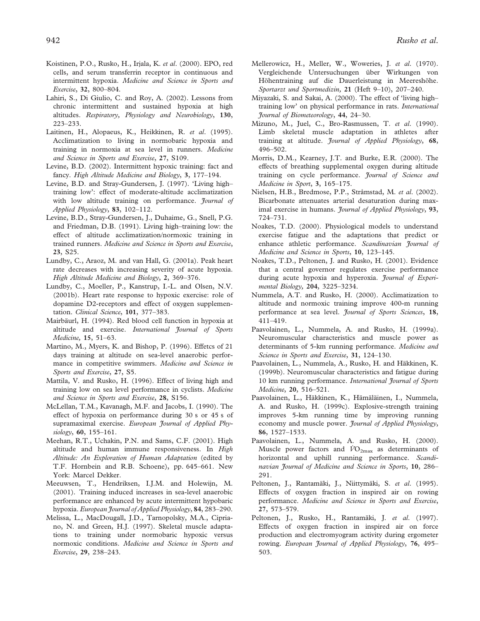- Koistinen, P.O., Rusko, H., Irjala, K. et al. (2000). EPO, red cells, and serum transferrin receptor in continuous and intermittent hypoxia. Medicine and Science in Sports and Exercise, 32, 800–804.
- Lahiri, S., Di Giulio, C. and Roy, A. (2002). Lessons from chronic intermittent and sustained hypoxia at high altitudes. Respiratory, Physiology and Neurobiology, 130, 223–233.
- Laitinen, H., Alopaeus, K., Heikkinen, R. et al. (1995). Acclimatization to living in normobaric hypoxia and training in normoxia at sea level in runners. Medicine and Science in Sports and Exercise, 27, S109.
- Levine, B.D. (2002). Intermittent hypoxic training: fact and fancy. High Altitude Medicine and Biology, 3, 177-194.
- Levine, B.D. and Stray-Gundersen, J. (1997). 'Living high– training low': effect of moderate-altitude acclimatization with low altitude training on performance. *Journal of* Applied Physiology, 83, 102–112.
- Levine, B.D., Stray-Gundersen, J., Duhaime, G., Snell, P.G. and Friedman, D.B. (1991). Living high–training low: the effect of altitude acclimatization/normoxic training in trained runners. Medicine and Science in Sports and Exercise, 23, S25.
- Lundby, C., Araoz, M. and van Hall, G. (2001a). Peak heart rate decreases with increasing severity of acute hypoxia. High Altitude Medicine and Biology, 2, 369–376.
- Lundby, C., Moeller, P., Kanstrup, I.-L. and Olsen, N.V. (2001b). Heart rate response to hypoxic exercise: role of dopamine D2-receptors and effect of oxygen supplementation. Clinical Science, 101, 377–383.
- Mairbäurl, H. (1994). Red blood cell function in hypoxia at altitude and exercise. International Journal of Sports Medicine, 15, 51–63.
- Martino, M., Myers, K. and Bishop, P. (1996). Effetcs of 21 days training at altitude on sea-level anaerobic performance in competitive swimmers. Medicine and Science in Sports and Exercise, 27, S5.
- Mattila, V. and Rusko, H. (1996). Effect of living high and training low on sea level performance in cyclists. Medicine and Science in Sports and Exercise, 28, S156.
- McLellan, T.M., Kavanagh, M.F. and Jacobs, I. (1990). The effect of hypoxia on performance during 30 s or 45 s of supramaximal exercise. European Journal of Applied Physiology, 60, 155–161.
- Meehan, R.T., Uchakin, P.N. and Sams, C.F. (2001). High altitude and human immune responsiveness. In High Altitude: An Exploration of Human Adaptation (edited by T.F. Hornbein and R.B. Schoene), pp. 645–661. New York: Marcel Dekker.
- Meeuwsen, T., Hendriksen, I.J.M. and Holewijn, M. (2001). Training induced increases in sea-level anaerobic performance are enhanced by acute intermittent hypobaric hypoxia. European Journal of Applied Physiology, 84, 283–290.
- Melissa, L., MacDougall, J.D., Tarnopolsky, M.A., Cipriano, N. and Green, H.J. (1997). Skeletal muscle adaptations to training under normobaric hypoxic versus normoxic conditions. Medicine and Science in Sports and Exercise, 29, 238–243.
- Mellerowicz, H., Meller, W., Woweries, J. et al. (1970). Vergleichende Untersuchungen über Wirkungen von Höhentraining auf die Dauerleistung in Meereshöhe. Sportarzt und Sportmedizin, 21 (Heft 9–10), 207–240.
- Miyazaki, S. and Sakai, A. (2000). The effect of 'living high– training low' on physical performance in rats. International Journal of Biometeorology, 44, 24–30.
- Mizuno, M., Juel, C., Bro-Rasmussen, T. et al. (1990). Limb skeletal muscle adaptation in athletes after training at altitude. Journal of Applied Physiology, 68, 496–502.
- Morris, D.M., Kearney, J.T. and Burke, E.R. (2000). The effects of breathing supplemental oxygen during altitude training on cycle performance. Journal of Science and Medicine in Sport, 3, 165–175.
- Nielsen, H.B., Bredmose, P.P., Stråmstad, M. et al. (2002). Bicarbonate attenuates arterial desaturation during maximal exercise in humans. *Journal of Applied Physiology*, 93, 724–731.
- Noakes, T.D. (2000). Physiological models to understand exercise fatigue and the adaptations that predict or enhance athletic performance. Scandinavian Journal of Medicine and Science in Sports, 10, 123–145.
- Noakes, T.D., Peltonen, J. and Rusko, H. (2001). Evidence that a central governor regulates exercise performance during acute hypoxia and hyperoxia. Journal of Experimental Biology, 204, 3225–3234.
- Nummela, A.T. and Rusko, H. (2000). Acclimatization to altitude and normoxic training improve 400-m running performance at sea level. Journal of Sports Sciences, 18, 411–419.
- Paavolainen, L., Nummela, A. and Rusko, H. (1999a). Neuromuscular characteristics and muscle power as determinants of 5-km running performance. Medicine and Science in Sports and Exercise, 31, 124–130.
- Paavolainen, L., Nummela, A., Rusko, H. and Häkkinen, K. (1999b). Neuromuscular characteristics and fatigue during 10 km running performance. International Journal of Sports Medicine, 20, 516–521.
- Paavolainen, L., Häkkinen, K., Hämäläinen, I., Nummela, A. and Rusko, H. (1999c). Explosive-strength training improves 5-km running time by improving running economy and muscle power. Journal of Applied Physiology, 86, 1527–1533.
- Paavolainen, L., Nummela, A. and Rusko, H. (2000). Muscle power factors and  $\dot{V}O_{2\text{max}}$  as determinants of horizontal and uphill running performance. Scandinavian Journal of Medicine and Science in Sports, 10, 286– 291.
- Peltonen, J., Rantamäki, J., Niittymäki, S. et al. (1995). Effects of oxygen fraction in inspired air on rowing performance. Medicine and Science in Sports and Exercise, 27, 573–579.
- Peltonen, J., Rusko, H., Rantamäki, J. et al. (1997). Effects of oxygen fraction in inspired air on force production and electromyogram activity during ergometer rowing. European Journal of Applied Physiology, 76, 495– 503.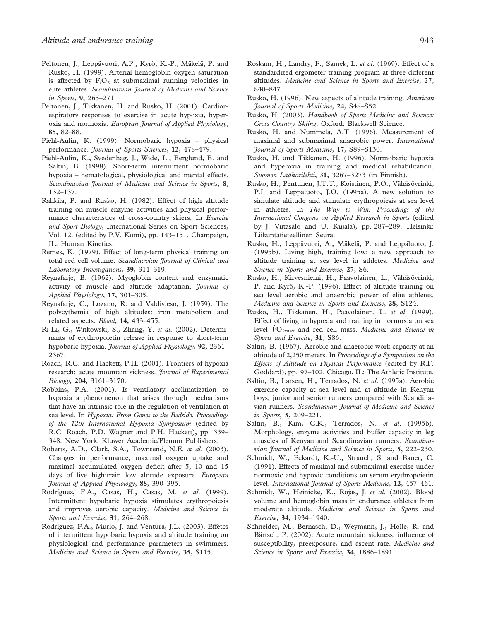- Peltonen, J., Leppävuori, A.P., Kyrö, K.-P., Mäkelä, P. and Rusko, H. (1999). Arterial hemoglobin oxygen saturation is affected by  $F_1O_2$  at submaximal running velocities in elite athletes. Scandinavian Journal of Medicine and Science in Sports, 9, 265–271.
- Peltonen, J., Tikkanen, H. and Rusko, H. (2001). Cardiorespiratory responses to exercise in acute hypoxia, hyperoxia and normoxia. European Journal of Applied Physiology, 85, 82–88.
- Piehl-Aulin, K. (1999). Normobaric hypoxia physical performance. Journal of Sports Sciences, 12, 478-479.
- Piehl-Aulin, K., Svedenhag, J., Wide, L., Berglund, B. and Saltin, B. (1998). Short-term intermittent normobaric hypoxia – hematological, physiological and mental effects. Scandinavian Journal of Medicine and Science in Sports, 8, 132–137.
- Rahkila, P. and Rusko, H. (1982). Effect of high altitude training on muscle enzyme activities and physical performance characteristics of cross-country skiers. In Exercise and Sport Biology, International Series on Sport Sciences, Vol. 12. (edited by P.V. Komi), pp. 143–151. Champaign, IL: Human Kinetics.
- Remes, K. (1979). Effect of long-term physical training on total red cell volume. Scandinavian Journal of Clinical and Laboratory Investigations, 39, 311–319.
- Reynafarje, B. (1962). Myoglobin content and enzymatic activity of muscle and altitude adaptation. Journal of Applied Physiology, 17, 301–305.
- Reynafarje, C., Lozano, R. and Valdivieso, J. (1959). The polycythemia of high altitudes: iron metabolism and related aspects. Blood, 14, 433–455.
- Ri-Li, G., Witkowski, S., Zhang, Y. et al. (2002). Determinants of erythropoietin release in response to short-term hypobaric hypoxia. Journal of Applied Physiology, 92, 2361-2367.
- Roach, R.C. and Hackett, P.H. (2001). Frontiers of hypoxia research: acute mountain sickness. Journal of Experimental Biology, 204, 3161–3170.
- Robbins, P.A. (2001). Is ventilatory acclimatization to hypoxia a phenomenon that arises through mechanisms that have an intrinsic role in the regulation of ventilation at sea level. In Hypoxia: From Genes to the Bedside. Proceedings of the 12th International Hypoxia Symposium (edited by R.C. Roach, P.D. Wagner and P.H. Hackett), pp. 339– 348. New York: Kluwer Academic/Plenum Publishers.
- Roberts, A.D., Clark, S.A., Townsend, N.E. et al. (2003). Changes in performance, maximal oxygen uptake and maximal accumulated oxygen deficit after 5, 10 and 15 days of live high:train low altitude exposure. European Journal of Applied Physiology, 88, 390–395.
- Rodríguez, F.A., Casas, H., Casas, M. et al. (1999). Intermittent hypobaric hypoxia stimulates erythropoiesis and improves aerobic capacity. Medicine and Science in Sports and Exercise, 31, 264-268.
- Rodríguez, F.A., Murio, J. and Ventura, J.L. (2003). Effetcs of intermittent hypobaric hypoxia and altitude training on physiological and performance parameters in swimmers. Medicine and Science in Sports and Exercise, 35, S115.
- Roskam, H., Landry, F., Samek, L. et al. (1969). Effect of a standardized ergometer training program at three different altitudes. Medicine and Science in Sports and Exercise, 27, 840–847.
- Rusko, H. (1996). New aspects of altitude training. American Journal of Sports Medicine, 24, S48–S52.
- Rusko, H. (2003). Handbook of Sports Medicine and Science: Cross Country Skiing. Oxford: Blackwell Science.
- Rusko, H. and Nummela, A.T. (1996). Measurement of maximal and submaximal anaerobic power. International Journal of Sports Medicine, 17, S89–S130.
- Rusko, H. and Tikkanen, H. (1996). Normobaric hypoxia and hyperoxia in training and medical rehabilitation. Suomen Lääkärilehti, 31, 3267–3273 (in Finnish).
- Rusko, H., Penttinen, J.T.T., Koistinen, P.O., Vähäsöyrinki, P.I. and Leppäluoto, J.O. (1995a). A new solution to simulate altitude and stimulate erythropoiesis at sea level in athletes. In The Way to Win. Proceedings of the International Congress on Applied Research in Sports (edited by J. Viitasalo and U. Kujala), pp. 287–289. Helsinki: Liikuntatieteellinen Seura.
- Rusko, H., Leppävuori, A., Mäkelä, P. and Leppäluoto, J. (1995b). Living high, training low: a new approach to altitude training at sea level in athletes. Medicine and Science in Sports and Exercise, 27, S6.
- Rusko, H., Kirvesniemi, H., Paavolainen, L., Vähäsöyrinki, P. and Kyrö, K.-P. (1996). Effect of altitude training on sea level aerobic and anaerobic power of elite athletes. Medicine and Science in Sports and Exercise, 28, S124.
- Rusko, H., Tikkanen, H., Paavolainen, L. et al. (1999). Effect of living in hypoxia and training in normoxia on sea level  $\dot{V}O_{2\text{max}}$  and red cell mass. Medicine and Science in Sports and Exercise, 31, S86.
- Saltin, B. (1967). Aerobic and anaerobic work capacity at an altitude of 2,250 meters. In Proceedings of a Symposium on the Effects of Altitude on Physical Performance (edited by R.F. Goddard), pp. 97–102. Chicago, IL: The Athletic Institute.
- Saltin, B., Larsen, H., Terrados, N. et al. (1995a). Aerobic exercise capacity at sea level and at altitude in Kenyan boys, junior and senior runners compared with Scandinavian runners. Scandinavian Journal of Medicine and Science in Sports, 5, 209–221.
- Saltin, B., Kim, C.K., Terrados, N. et al. (1995b). Morphology, enzyme activities and buffer capacity in leg muscles of Kenyan and Scandinavian runners. Scandinavian Journal of Medicine and Science in Sports, 5, 222–230.
- Schmidt, W., Eckardt, K.-U., Strauch, S. and Bauer, C. (1991). Effects of maximal and submaximal exercise under normoxic and hypoxic conditions on serum erythropoietin level. International Journal of Sports Medicine, 12, 457-461.
- Schmidt, W., Heinicke, K., Rojas, J. et al. (2002). Blood volume and hemoglobin mass in endurance athletes from moderate altitude. Medicine and Science in Sports and Exercise, 34, 1934–1940.
- Schneider, M., Bernasch, D., Weymann, J., Holle, R. and Bärtsch, P. (2002). Acute mountain sickness: influence of susceptibility, preexposure, and ascent rate. Medicine and Science in Sports and Exercise, 34, 1886–1891.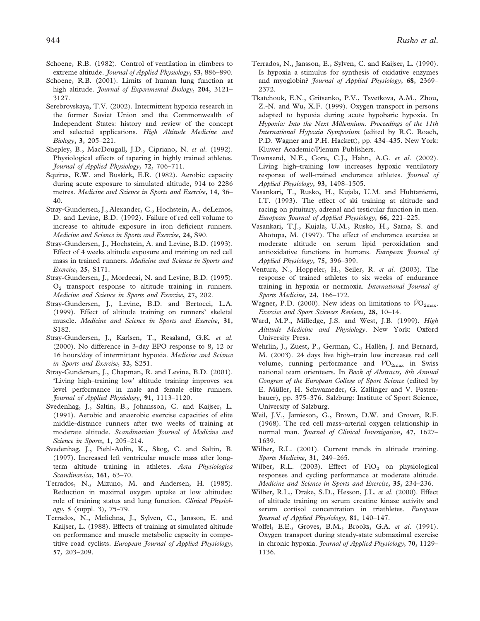- Schoene, R.B. (1982). Control of ventilation in climbers to extreme altitude. Journal of Applied Physiology, 53, 886-890.
- Schoene, R.B. (2001). Limits of human lung function at high altitude. Journal of Experimental Biology, 204, 3121-3127.
- Serebrovskaya, T.V. (2002). Intermittent hypoxia research in the former Soviet Union and the Commonwealth of Independent States: history and review of the concept and selected applications. High Altitude Medicine and Biology, 3, 205–221.
- Shepley, B., MacDougall, J.D., Cipriano, N. et al. (1992). Physiological effects of tapering in highly trained athletes. Journal of Applied Physiology, 72, 706–711.
- Squires, R.W. and Buskirk, E.R. (1982). Aerobic capacity during acute exposure to simulated altitude, 914 to 2286 metres. Medicine and Science in Sports and Exercise, 14, 36– 40.
- Stray-Gundersen, J., Alexander, C., Hochstein, A., deLemos, D. and Levine, B.D. (1992). Failure of red cell volume to increase to altitude exposure in iron deficient runners. Medicine and Science in Sports and Exercise, 24, S90.
- Stray-Gundersen, J., Hochstein, A. and Levine, B.D. (1993). Effect of 4 weeks altitude exposure and training on red cell mass in trained runners. Medicine and Science in Sports and Exercise, 25, S171.
- Stray-Gundersen, J., Mordecai, N. and Levine, B.D. (1995).  $O<sub>2</sub>$  transport response to altitude training in runners. Medicine and Science in Sports and Exercise, 27, 202.
- Stray-Gundersen, J., Levine, B.D. and Bertocci, L.A. (1999). Effect of altitude training on runners' skeletal muscle. Medicine and Science in Sports and Exercise, 31, S182.
- Stray-Gundersen, J., Karlsen, T., Resaland, G.K. et al. (2000). No difference in 3-day EPO response to 8, 12 or 16 hours/day of intermittant hypoxia. Medicine and Science in Sports and Exercise, 32, S251.
- Stray-Gundersen, J., Chapman, R. and Levine, B.D. (2001). 'Living high–training low' altitude training improves sea level performance in male and female elite runners. Journal of Applied Physiology, 91, 1113–1120.
- Svedenhag, J., Saltin, B., Johansson, C. and Kaijser, L. (1991). Aerobic and anaerobic exercise capacities of elite middle-distance runners after two weeks of training at moderate altitude. Scandinavian Journal of Medicine and Science in Sports, 1, 205-214.
- Svedenhag, J., Piehl-Aulin, K., Skog, C. and Saltin, B. (1997). Increased left ventricular muscle mass after longterm altitude training in athletes. Acta Physiologica Scandinavica, 161, 63–70.
- Terrados, N., Mizuno, M. and Andersen, H. (1985). Reduction in maximal oxygen uptake at low altitudes: role of training status and lung function. Clinical Physiology, 5 (suppl. 3), 75–79.
- Terrados, N., Melichna, J., Sylven, C., Jansson, E. and Kaijser, L. (1988). Effects of training at simulated altitude on performance and muscle metabolic capacity in competitive road cyclists. European Journal of Applied Physiology, 57, 203–209.
- Terrados, N., Jansson, E., Sylven, C. and Kaijser, L. (1990). Is hypoxia a stimulus for synthesis of oxidative enzymes and myoglobin? Journal of Applied Physiology, 68, 2369– 2372.
- Tkatchouk, E.N., Gritsenko, P.V., Tsvetkova, A.M., Zhou, Z.-N. and Wu, X.F. (1999). Oxygen transport in persons adapted to hypoxia during acute hypobaric hypoxia. In Hypoxia: Into the Next Millennium. Proceedings of the 11th International Hypoxia Symposium (edited by R.C. Roach, P.D. Wagner and P.H. Hackett), pp. 434–435. New York: Kluwer Academic/Plenum Publishers.
- Townsend, N.E., Gore, C.J., Hahn, A.G. et al. (2002). Living high–training low increases hypoxic ventilatory response of well-trained endurance athletes. Journal of Applied Physiology, 93, 1498–1505.
- Vasankari, T., Rusko, H., Kujala, U.M. and Huhtaniemi, I.T. (1993). The effect of ski training at altitude and racing on pituitary, adrenal and testicular function in men. European Journal of Applied Physiology, 66, 221–225.
- Vasankari, T.J., Kujala, U.M., Rusko, H., Sarna, S. and Ahotupa, M. (1997). The effect of endurance exercise at moderate altitude on serum lipid peroxidation and antioxidative functions in humans. European Journal of Applied Physiology, 75, 396–399.
- Ventura, N., Hoppeler, H., Seiler, R. et al. (2003). The response of trained athletes to six weeks of endurance training in hypoxia or normoxia. International Journal of Sports Medicine, 24, 166–172.
- Wagner, P.D. (2000). New ideas on limitations to  $V_{{\rm O}_{2{\rm max}}}$ . Exercise and Sport Sciences Reviews, 28, 10–14.
- Ward, M.P., Milledge, J.S. and West, J.B. (1999). High Altitude Medicine and Physiology. New York: Oxford University Press.
- Wehrlin, J., Zuest, P., German, C., Hallén, J. and Bernard, M. (2003). 24 days live high–train low increases red cell volume, running performance and  $\dot{V}O_{2\text{max}}$  in Swiss national team orienteers. In Book of Abstracts, 8th Annual Congress of the European College of Sport Science (edited by E. Müller, H. Schwameder, G. Zallinger and V. Fastenbauer), pp. 375–376. Salzburg: Institute of Sport Science, University of Salzburg.
- Weil, J.V., Jamieson, G., Brown, D.W. and Grover, R.F. (1968). The red cell mass–arterial oxygen relationship in normal man. Journal of Clinical Investigation, 47, 1627– 1639.
- Wilber, R.L. (2001). Current trends in altitude training. Sports Medicine, 31, 249-265.
- Wilber, R.L. (2003). Effect of  $FiO<sub>2</sub>$  on physiological responses and cycling performance at moderate altitude. Medicine and Science in Sports and Exercise, 35, 234–236.
- Wilber, R.L., Drake, S.D., Hesson, J.L. et al. (2000). Effect of altitude training on serum creatine kinase activity and serum cortisol concentration in triathletes. European Journal of Applied Physiology, 81, 140–147.
- Wolfel, E.E., Groves, B.M., Brooks, G.A. et al. (1991). Oxygen transport during steady-state submaximal exercise in chronic hypoxia. Journal of Applied Physiology, 70, 1129-1136.